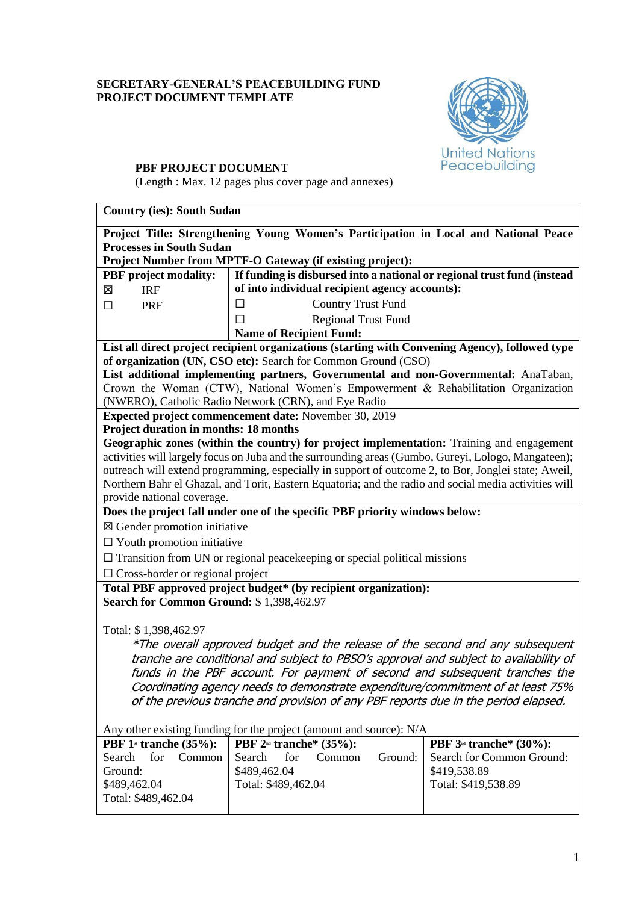# **SECRETARY-GENERAL'S PEACEBUILDING FUND PROJECT DOCUMENT TEMPLATE**



# **PBF PROJECT DOCUMENT**

(Length : Max. 12 pages plus cover page and annexes)

# **Country (ies): South Sudan**

|                                                                                                                                                                        | Project Title: Strengthening Young Women's Participation in Local and National Peace                  |                                     |  |  |
|------------------------------------------------------------------------------------------------------------------------------------------------------------------------|-------------------------------------------------------------------------------------------------------|-------------------------------------|--|--|
| <b>Processes in South Sudan</b>                                                                                                                                        |                                                                                                       |                                     |  |  |
|                                                                                                                                                                        | Project Number from MPTF-O Gateway (if existing project):                                             |                                     |  |  |
| <b>PBF</b> project modality:                                                                                                                                           | If funding is disbursed into a national or regional trust fund (instead                               |                                     |  |  |
| 区<br><b>IRF</b>                                                                                                                                                        | of into individual recipient agency accounts):                                                        |                                     |  |  |
| $\Box$<br><b>PRF</b>                                                                                                                                                   | <b>Country Trust Fund</b><br>$\Box$                                                                   |                                     |  |  |
|                                                                                                                                                                        | Regional Trust Fund<br>П                                                                              |                                     |  |  |
|                                                                                                                                                                        | <b>Name of Recipient Fund:</b>                                                                        |                                     |  |  |
|                                                                                                                                                                        | List all direct project recipient organizations (starting with Convening Agency), followed type       |                                     |  |  |
|                                                                                                                                                                        | of organization (UN, CSO etc): Search for Common Ground (CSO)                                         |                                     |  |  |
|                                                                                                                                                                        | List additional implementing partners, Governmental and non-Governmental: AnaTaban,                   |                                     |  |  |
|                                                                                                                                                                        | Crown the Woman (CTW), National Women's Empowerment & Rehabilitation Organization                     |                                     |  |  |
|                                                                                                                                                                        | (NWERO), Catholic Radio Network (CRN), and Eye Radio                                                  |                                     |  |  |
| <b>Project duration in months: 18 months</b>                                                                                                                           | Expected project commencement date: November 30, 2019                                                 |                                     |  |  |
|                                                                                                                                                                        | Geographic zones (within the country) for project implementation: Training and engagement             |                                     |  |  |
|                                                                                                                                                                        | activities will largely focus on Juba and the surrounding areas (Gumbo, Gureyi, Lologo, Mangateen);   |                                     |  |  |
|                                                                                                                                                                        | outreach will extend programming, especially in support of outcome 2, to Bor, Jonglei state; Aweil,   |                                     |  |  |
|                                                                                                                                                                        | Northern Bahr el Ghazal, and Torit, Eastern Equatoria; and the radio and social media activities will |                                     |  |  |
| provide national coverage.                                                                                                                                             |                                                                                                       |                                     |  |  |
|                                                                                                                                                                        | Does the project fall under one of the specific PBF priority windows below:                           |                                     |  |  |
| $\boxtimes$ Gender promotion initiative                                                                                                                                |                                                                                                       |                                     |  |  |
| $\Box$ Youth promotion initiative                                                                                                                                      |                                                                                                       |                                     |  |  |
| $\Box$ Transition from UN or regional peace keeping or special political missions                                                                                      |                                                                                                       |                                     |  |  |
| $\Box$ Cross-border or regional project                                                                                                                                |                                                                                                       |                                     |  |  |
| Total PBF approved project budget* (by recipient organization):                                                                                                        |                                                                                                       |                                     |  |  |
| Search for Common Ground: \$1,398,462.97                                                                                                                               |                                                                                                       |                                     |  |  |
|                                                                                                                                                                        |                                                                                                       |                                     |  |  |
| Total: \$1,398,462.97                                                                                                                                                  |                                                                                                       |                                     |  |  |
|                                                                                                                                                                        |                                                                                                       |                                     |  |  |
| *The overall approved budget and the release of the second and any subsequent<br>tranche are conditional and subject to PBSO's approval and subject to availability of |                                                                                                       |                                     |  |  |
| funds in the PBF account. For payment of second and subsequent tranches the                                                                                            |                                                                                                       |                                     |  |  |
| Coordinating agency needs to demonstrate expenditure/commitment of at least 75%                                                                                        |                                                                                                       |                                     |  |  |
| of the previous tranche and provision of any PBF reports due in the period elapsed.                                                                                    |                                                                                                       |                                     |  |  |
|                                                                                                                                                                        |                                                                                                       |                                     |  |  |
|                                                                                                                                                                        | Any other existing funding for the project (amount and source): N/A                                   |                                     |  |  |
| PBF $1$ <sup>st</sup> tranche (35%):                                                                                                                                   | PBF $2^{nd}$ tranche* (35%):                                                                          | PBF 3 <sup>rd</sup> tranche* (30%): |  |  |
| for<br>Common<br>Search                                                                                                                                                | Search<br>for<br>Ground:<br>Common                                                                    | Search for Common Ground:           |  |  |
| Ground:                                                                                                                                                                | \$489,462.04                                                                                          | \$419,538.89                        |  |  |
| \$489,462.04                                                                                                                                                           | Total: \$489,462.04                                                                                   | Total: \$419,538.89                 |  |  |
| Total: \$489,462.04                                                                                                                                                    |                                                                                                       |                                     |  |  |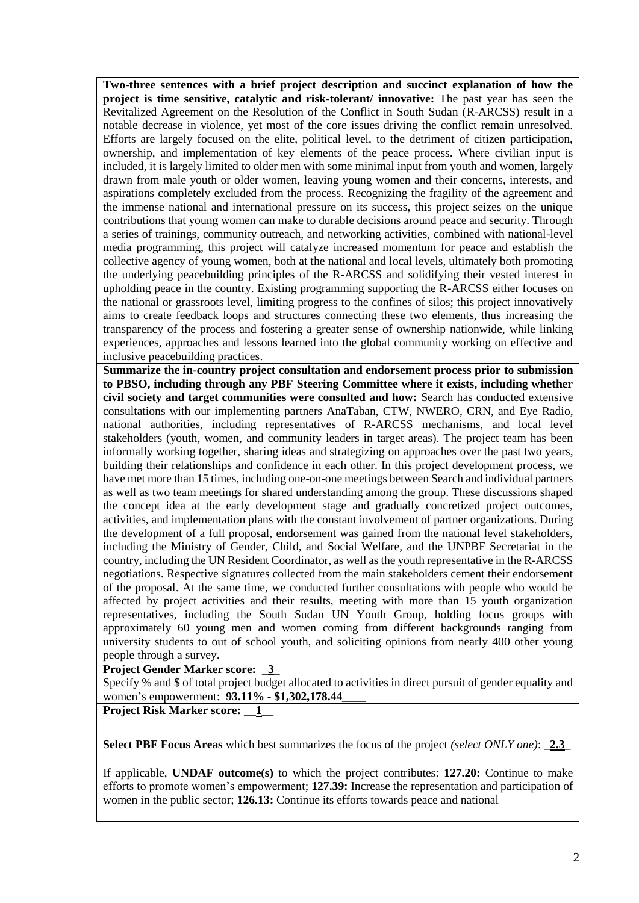**Two-three sentences with a brief project description and succinct explanation of how the project is time sensitive, catalytic and risk-tolerant/ innovative:** The past year has seen the Revitalized Agreement on the Resolution of the Conflict in South Sudan (R-ARCSS) result in a notable decrease in violence, yet most of the core issues driving the conflict remain unresolved. Efforts are largely focused on the elite, political level, to the detriment of citizen participation, ownership, and implementation of key elements of the peace process. Where civilian input is included, it is largely limited to older men with some minimal input from youth and women, largely drawn from male youth or older women, leaving young women and their concerns, interests, and aspirations completely excluded from the process. Recognizing the fragility of the agreement and the immense national and international pressure on its success, this project seizes on the unique contributions that young women can make to durable decisions around peace and security. Through a series of trainings, community outreach, and networking activities, combined with national-level media programming, this project will catalyze increased momentum for peace and establish the collective agency of young women, both at the national and local levels, ultimately both promoting the underlying peacebuilding principles of the R-ARCSS and solidifying their vested interest in upholding peace in the country. Existing programming supporting the R-ARCSS either focuses on the national or grassroots level, limiting progress to the confines of silos; this project innovatively aims to create feedback loops and structures connecting these two elements, thus increasing the transparency of the process and fostering a greater sense of ownership nationwide, while linking experiences, approaches and lessons learned into the global community working on effective and inclusive peacebuilding practices.

**Summarize the in-country project consultation and endorsement process prior to submission to PBSO, including through any PBF Steering Committee where it exists, including whether civil society and target communities were consulted and how:** Search has conducted extensive consultations with our implementing partners AnaTaban, CTW, NWERO, CRN, and Eye Radio, national authorities, including representatives of R-ARCSS mechanisms, and local level stakeholders (youth, women, and community leaders in target areas). The project team has been informally working together, sharing ideas and strategizing on approaches over the past two years, building their relationships and confidence in each other. In this project development process, we have met more than 15 times, including one-on-one meetings between Search and individual partners as well as two team meetings for shared understanding among the group. These discussions shaped the concept idea at the early development stage and gradually concretized project outcomes, activities, and implementation plans with the constant involvement of partner organizations. During the development of a full proposal, endorsement was gained from the national level stakeholders, including the Ministry of Gender, Child, and Social Welfare, and the UNPBF Secretariat in the country, including the UN Resident Coordinator, as well as the youth representative in the R-ARCSS negotiations. Respective signatures collected from the main stakeholders cement their endorsement of the proposal. At the same time, we conducted further consultations with people who would be affected by project activities and their results, meeting with more than 15 youth organization representatives, including the South Sudan UN Youth Group, holding focus groups with approximately 60 young men and women coming from different backgrounds ranging from university students to out of school youth, and soliciting opinions from nearly 400 other young people through a survey.

**Project Gender Marker score: \_3\_**

Specify % and \$ of total project budget allocated to activities in direct pursuit of gender equality and women's empowerment: **93.11% - \$1,302,178.44\_\_\_\_**

**Project Risk Marker score: \_\_1\_\_**

**Select PBF Focus Areas** which best summarizes the focus of the project *(select ONLY one)*: \_**2.3**\_

If applicable, **UNDAF outcome(s)** to which the project contributes: **127.20:** Continue to make efforts to promote women's empowerment; **127.39:** Increase the representation and participation of women in the public sector; **126.13:** Continue its efforts towards peace and national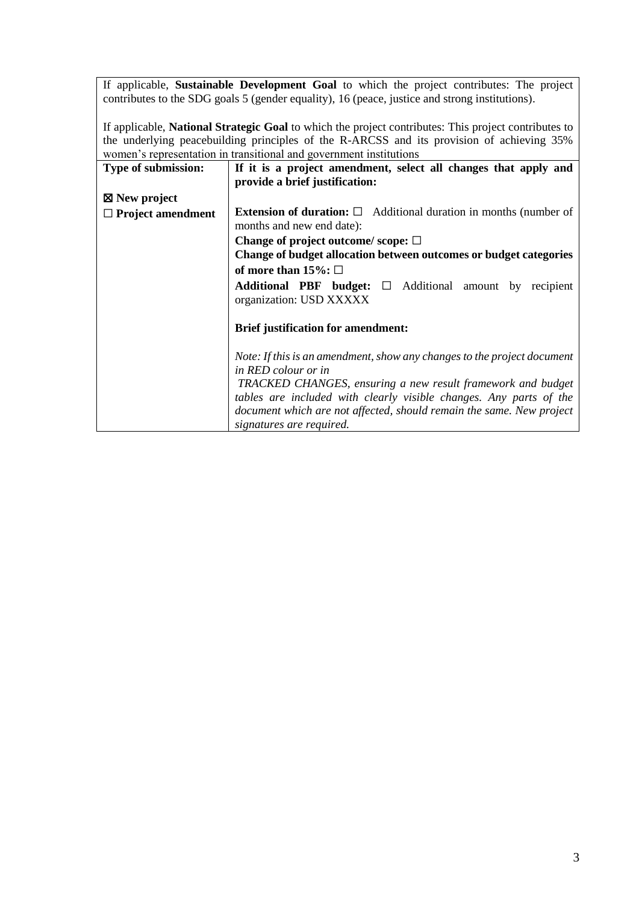If applicable, **Sustainable Development Goal** to which the project contributes: The project contributes to the SDG goals 5 (gender equality), 16 (peace, justice and strong institutions).

If applicable, **National Strategic Goal** to which the project contributes: This project contributes to the underlying peacebuilding principles of the R-ARCSS and its provision of achieving 35% women's representation in transitional and government institutions

| Type of submission:      | If it is a project amendment, select all changes that apply and               |
|--------------------------|-------------------------------------------------------------------------------|
|                          | provide a brief justification:                                                |
| $\boxtimes$ New project  |                                                                               |
| $\Box$ Project amendment | <b>Extension of duration:</b> $\Box$ Additional duration in months (number of |
|                          | months and new end date):                                                     |
|                          | Change of project outcome/scope: $\square$                                    |
|                          | Change of budget allocation between outcomes or budget categories             |
|                          | of more than 15%: $\Box$                                                      |
|                          | <b>Additional PBF budget:</b> $\Box$ Additional amount by recipient           |
|                          | organization: USD XXXXX                                                       |
|                          |                                                                               |
|                          | <b>Brief justification for amendment:</b>                                     |
|                          |                                                                               |
|                          | Note: If this is an amendment, show any changes to the project document       |
|                          | in RED colour or in                                                           |
|                          | TRACKED CHANGES, ensuring a new result framework and budget                   |
|                          | tables are included with clearly visible changes. Any parts of the            |
|                          | document which are not affected, should remain the same. New project          |
|                          | signatures are required.                                                      |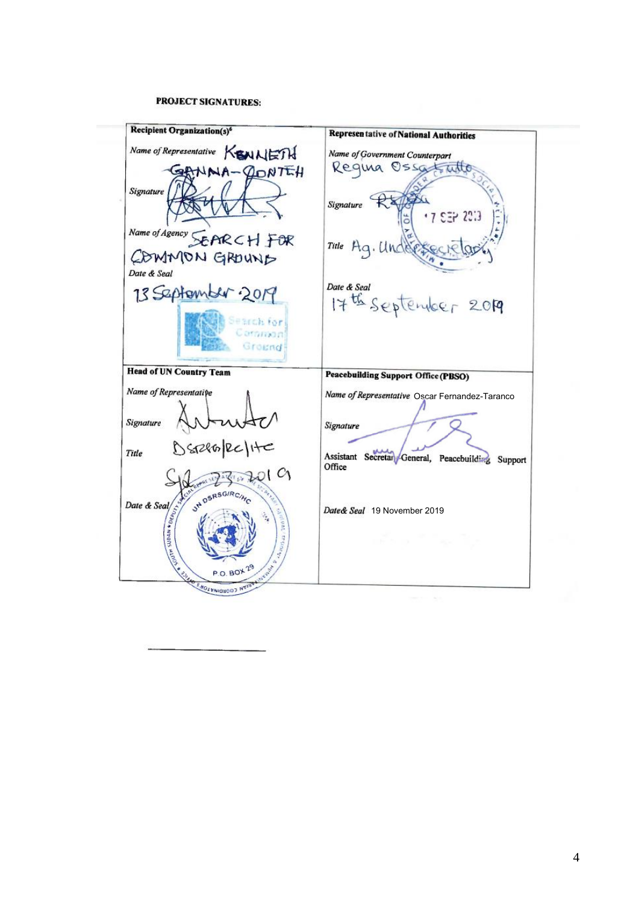# **PROJECT SIGNATURES:**

æ.

| <b>Recipient Organization(s)<sup>6</sup></b>             | <b>Representative of National Authorities</b>                  |
|----------------------------------------------------------|----------------------------------------------------------------|
| Name of Representative KSNNETH                           | Name of Government Counterpart<br>Require Ossatinte            |
| HITROD-AMM<br>Signature                                  | Signature                                                      |
|                                                          | .7.537.233                                                     |
| Name of Agency SEPIR CH FOR<br>COMMON GROUND             | Title Aq. Under                                                |
| Date & Seal                                              |                                                                |
| 13 September 2019                                        | Date & Seal<br>17th September 2019                             |
| DEBICALISE<br>aranan<br>Ground                           |                                                                |
| <b>Head of UN Country Team</b>                           | <b>Peacebuilding Support Office (PBSO)</b>                     |
| Name of Representative                                   | Name of Representative Oscar Fernandez-Taranco                 |
| Signature                                                | Signature                                                      |
| DSR286/RC/HC<br>Title                                    | Assistant Secretar General, Peacebuilding<br>Support<br>Office |
| CΛ<br>JH DSRSGIRCING                                     |                                                                |
| Date & Seal $\frac{1}{\sum_{i=1}^{n} a_i}$               | Date& Seal 19 November 2019                                    |
|                                                          | of the 1                                                       |
| Al Brazil<br>$P.O.BO\star 2^6$<br>ANY TO SHOLENIQUOD NOW |                                                                |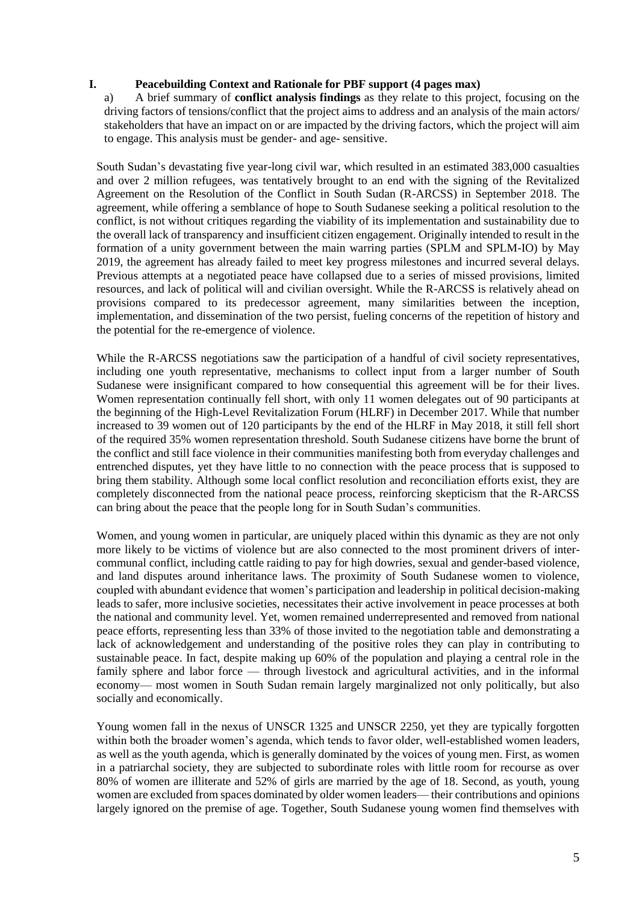# **I. Peacebuilding Context and Rationale for PBF support (4 pages max)**

a) A brief summary of **conflict analysis findings** as they relate to this project, focusing on the driving factors of tensions/conflict that the project aims to address and an analysis of the main actors/ stakeholders that have an impact on or are impacted by the driving factors, which the project will aim to engage. This analysis must be gender- and age- sensitive.

South Sudan's devastating five year-long civil war, which resulted in an estimated 383,000 casualties and over 2 million refugees, was tentatively brought to an end with the signing of the Revitalized Agreement on the Resolution of the Conflict in South Sudan (R-ARCSS) in September 2018. The agreement, while offering a semblance of hope to South Sudanese seeking a political resolution to the conflict, is not without critiques regarding the viability of its implementation and sustainability due to the overall lack of transparency and insufficient citizen engagement. Originally intended to result in the formation of a unity government between the main warring parties (SPLM and SPLM-IO) by May 2019, the agreement has already failed to meet key progress milestones and incurred several delays. Previous attempts at a negotiated peace have collapsed due to a series of missed provisions, limited resources, and lack of political will and civilian oversight. While the R-ARCSS is relatively ahead on provisions compared to its predecessor [agreement,](https://kroc.nd.edu/assets/316276/190410_peace_accords_matrix_south_sudan_6_month_implementation_report.pdf) many similarities between the inception, implementation, and dissemination of the two persist, fueling concerns of the repetition of history and the potential for the re-emergence of violence.

While the R-ARCSS negotiations saw the participation of a handful of civil society representatives, including one youth representative, mechanisms to collect input from a larger number of South Sudanese were insignificant compared to how consequential this agreement will be for their lives. Women representation continually fell short, with only 11 women delegates out of 90 participants at the beginning of the High-Level Revitalization Forum (HLRF) in December 2017. While that number increased to 39 women out of 120 participants by the end of the HLRF in May 2018, it still fell short of the required 35% women representation threshold. South Sudanese citizens have borne the brunt of the conflict and still face violence in their communities manifesting both from everyday challenges and entrenched disputes, yet they have little to no connection with the peace process that is supposed to bring them stability. Although some local conflict resolution and reconciliation efforts exist, they are completely disconnected from the national peace process, reinforcing skepticism that the R-ARCSS can bring about the peace that the people long for in South Sudan's communities.

Women, and young women in particular, are uniquely placed within this dynamic as they are not only more likely to be victims of violence but are also connected to the most prominent drivers of intercommunal conflict, including cattle raiding to pay for high dowries, sexual and gender-based violence, and land disputes around inheritance laws. The proximity of South Sudanese women to violence, coupled with abundant evidence that women's participation and leadership in political decision-making leads to safer, more inclusive societies, necessitates their active involvement in peace processes at both the national and community level. Yet, women remained underrepresented and removed from national peace efforts, representing less than 33% of those invited to the negotiation table and demonstrating a lack of acknowledgement and understanding of the positive roles they can play in contributing to sustainable peace. In fact, despite making up 60% of the population and playing a central role in the family sphere and labor force — through livestock and agricultural activities, and in the informal economy— most women in South Sudan remain largely marginalized not only politically, but also socially and economically.

Young women fall in the nexus of UNSCR 1325 and UNSCR 2250, yet they are typically forgotten within both the broader women's agenda, which tends to favor older, well-established women leaders, as well as the youth agenda, which is generally dominated by the voices of young men. First, as women in a patriarchal society, they are subjected to subordinate roles with little room for recourse as over 80% of women are illiterate and 52% of girls are married by the age of 18. Second, as youth, young women are excluded from spaces dominated by older women leaders— their contributions and opinions largely ignored on the premise of age. Together, South Sudanese young women find themselves with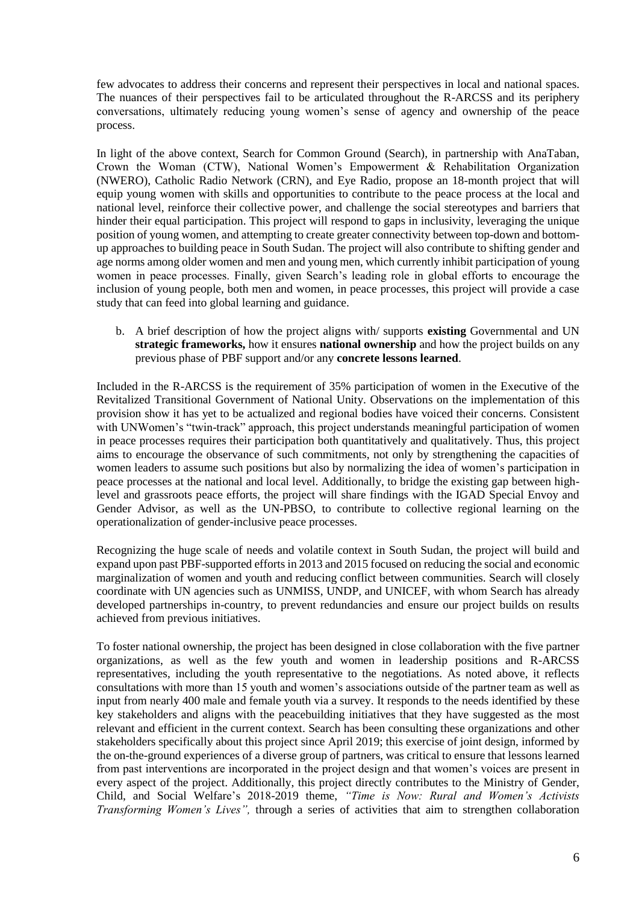few advocates to address their concerns and represent their perspectives in local and national spaces. The nuances of their perspectives fail to be articulated throughout the R-ARCSS and its periphery conversations, ultimately reducing young women's sense of agency and ownership of the peace process.

In light of the above context, Search for Common Ground (Search), in partnership with AnaTaban, Crown the Woman (CTW), National Women's Empowerment & Rehabilitation Organization (NWERO), Catholic Radio Network (CRN), and Eye Radio, propose an 18-month project that will equip young women with skills and opportunities to contribute to the peace process at the local and national level, reinforce their collective power, and challenge the social stereotypes and barriers that hinder their equal participation. This project will respond to gaps in inclusivity, leveraging the unique position of young women, and attempting to create greater connectivity between top-down and bottomup approaches to building peace in South Sudan. The project will also contribute to shifting gender and age norms among older women and men and young men, which currently inhibit participation of young women in peace processes. Finally, given Search's leading role in global efforts to encourage the inclusion of young people, both men and women, in peace processes, this project will provide a case study that can feed into global learning and guidance.

b. A brief description of how the project aligns with/ supports **existing** Governmental and UN **strategic frameworks,** how it ensures **national ownership** and how the project builds on any previous phase of PBF support and/or any **concrete lessons learned**.

Included in the R-ARCSS is the requirement of 35% participation of women in the Executive of the Revitalized Transitional Government of National Unity. Observations on the implementation of this provision show it has yet to be actualized and regional bodies have voiced their concerns. Consistent with UNWomen's "twin-track" approach, this project understands meaningful participation of women in peace processes requires their participation both quantitatively and qualitatively. Thus, this project aims to encourage the observance of such commitments, not only by strengthening the capacities of women leaders to assume such positions but also by normalizing the idea of women's participation in peace processes at the national and local level. Additionally, to bridge the existing gap between highlevel and grassroots peace efforts, the project will share findings with the IGAD Special Envoy and Gender Advisor, as well as the UN-PBSO, to contribute to collective regional learning on the operationalization of gender-inclusive peace processes.

Recognizing the huge scale of needs and volatile context in South Sudan, the project will build and expand upon past PBF-supported efforts in 2013 and 2015 focused on reducing the social and economic marginalization of women and youth and reducing conflict between communities. Search will closely coordinate with UN agencies such as UNMISS, UNDP, and UNICEF, with whom Search has already developed partnerships in-country, to prevent redundancies and ensure our project builds on results achieved from previous initiatives.

To foster national ownership, the project has been designed in close collaboration with the five partner organizations, as well as the few youth and women in leadership positions and R-ARCSS representatives, including the youth representative to the negotiations. As noted above, it reflects consultations with more than 15 youth and women's associations outside of the partner team as well as input from nearly 400 male and female youth via a survey. It responds to the needs identified by these key stakeholders and aligns with the peacebuilding initiatives that they have suggested as the most relevant and efficient in the current context. Search has been consulting these organizations and other stakeholders specifically about this project since April 2019; this exercise of joint design, informed by the on-the-ground experiences of a diverse group of partners, was critical to ensure that lessons learned from past interventions are incorporated in the project design and that women's voices are present in every aspect of the project. Additionally, this project directly contributes to the Ministry of Gender, Child, and Social Welfare's 2018-2019 theme, *"Time is Now: Rural and Women's Activists Transforming Women's Lives",* through a series of activities that aim to strengthen collaboration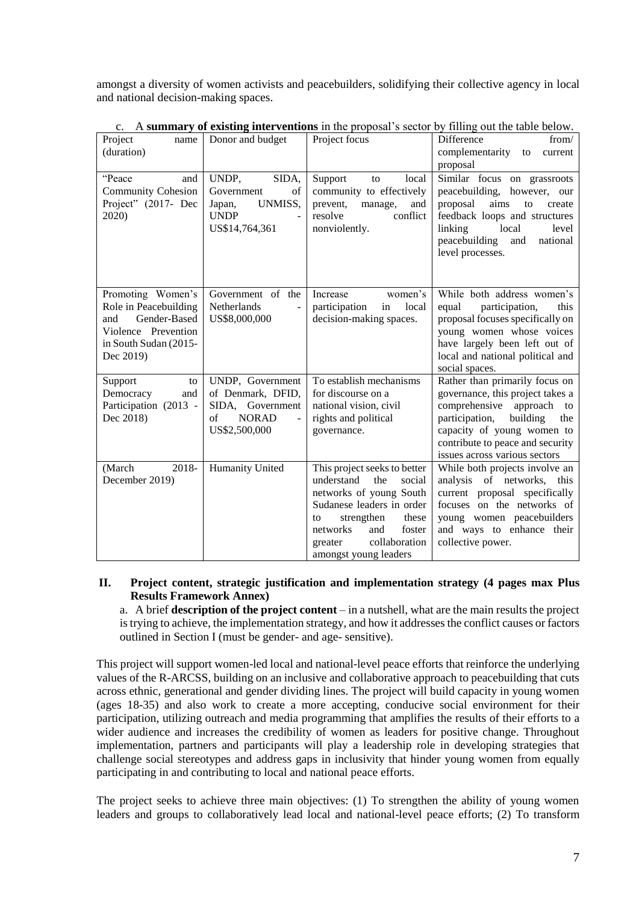amongst a diversity of women activists and peacebuilders, solidifying their collective agency in local and national decision-making spaces.

| Project<br>name<br>(duration)                                                                                                  | Donor and budget                                                                                 | Project focus                                                                                                                                                                                                                      | Difference<br>from/<br>complementarity<br>to<br>current<br>proposal                                                                                                                                                                     |
|--------------------------------------------------------------------------------------------------------------------------------|--------------------------------------------------------------------------------------------------|------------------------------------------------------------------------------------------------------------------------------------------------------------------------------------------------------------------------------------|-----------------------------------------------------------------------------------------------------------------------------------------------------------------------------------------------------------------------------------------|
| "Peace"<br>and<br><b>Community Cohesion</b><br>Project" (2017- Dec<br>2020)                                                    | SIDA,<br>UNDP,<br>Government<br>of<br>UNMISS,<br>Japan,<br><b>UNDP</b><br>US\$14,764,361         | local<br>Support<br>to<br>community to effectively<br>prevent,<br>manage,<br>and<br>resolve<br>conflict<br>nonviolently.                                                                                                           | Similar focus on grassroots<br>peacebuilding, however, our<br>aims<br>proposal<br>to<br>create<br>feedback loops and structures<br>linking<br>local<br>level<br>peacebuilding<br>national<br>and<br>level processes.                    |
| Promoting Women's<br>Role in Peacebuilding<br>Gender-Based<br>and<br>Violence Prevention<br>in South Sudan (2015-<br>Dec 2019) | Government of the<br>Netherlands<br>US\$8,000,000                                                | Increase<br>women's<br>local<br>participation<br>in<br>decision-making spaces.                                                                                                                                                     | While both address women's<br>participation,<br>equal<br>this<br>proposal focuses specifically on<br>young women whose voices<br>have largely been left out of<br>local and national political and<br>social spaces.                    |
| Support<br>to<br>Democracy<br>and<br>Participation (2013 -<br>Dec 2018)                                                        | UNDP, Government<br>of Denmark, DFID,<br>SIDA, Government<br>of<br><b>NORAD</b><br>US\$2,500,000 | To establish mechanisms<br>for discourse on a<br>national vision, civil<br>rights and political<br>governance.                                                                                                                     | Rather than primarily focus on<br>governance, this project takes a<br>comprehensive approach to<br>participation,<br>building<br>the<br>capacity of young women to<br>contribute to peace and security<br>issues across various sectors |
| 2018-<br>(March<br>December 2019)                                                                                              | Humanity United                                                                                  | This project seeks to better<br>understand<br>the<br>social<br>networks of young South<br>Sudanese leaders in order<br>strengthen<br>these<br>to<br>foster<br>networks<br>and<br>collaboration<br>greater<br>amongst young leaders | While both projects involve an<br>analysis of networks, this<br>current proposal specifically<br>focuses on the networks of<br>young women peacebuilders<br>and ways to enhance their<br>collective power.                              |

c. A **summary of existing interventions** in the proposal's sector by filling out the table below.

# **II. Project content, strategic justification and implementation strategy (4 pages max Plus Results Framework Annex)**

a. A brief **description of the project content** – in a nutshell, what are the main results the project is trying to achieve, the implementation strategy, and how it addresses the conflict causes or factors outlined in Section I (must be gender- and age- sensitive).

This project will support women-led local and national-level peace efforts that reinforce the underlying values of the R-ARCSS, building on an inclusive and collaborative approach to peacebuilding that cuts across ethnic, generational and gender dividing lines. The project will build capacity in young women (ages 18-35) and also work to create a more accepting, conducive social environment for their participation, utilizing outreach and media programming that amplifies the results of their efforts to a wider audience and increases the credibility of women as leaders for positive change. Throughout implementation, partners and participants will play a leadership role in developing strategies that challenge social stereotypes and address gaps in inclusivity that hinder young women from equally participating in and contributing to local and national peace efforts.

The project seeks to achieve three main objectives: (1) To strengthen the ability of young women leaders and groups to collaboratively lead local and national-level peace efforts; (2) To transform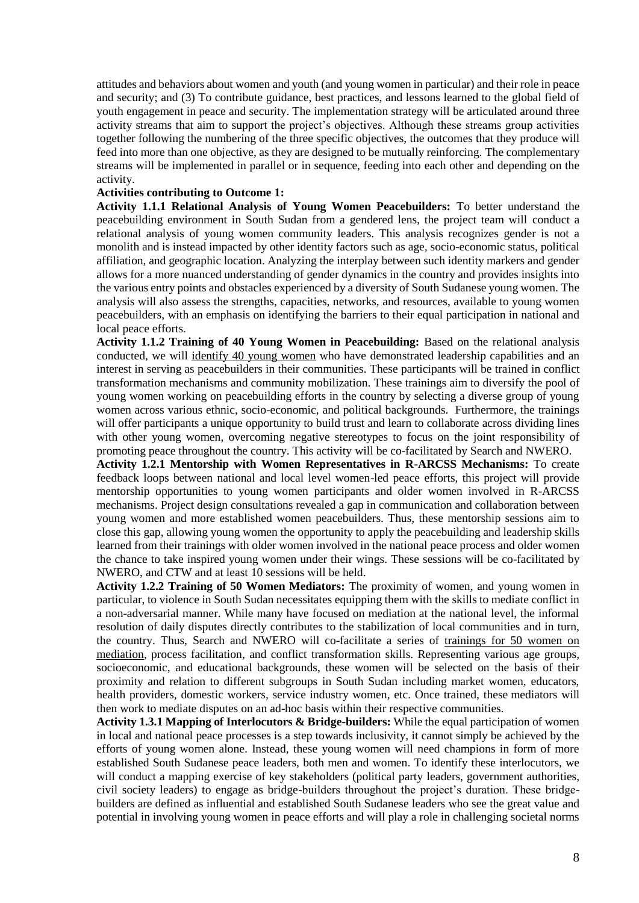attitudes and behaviors about women and youth (and young women in particular) and their role in peace and security; and (3) To contribute guidance, best practices, and lessons learned to the global field of youth engagement in peace and security. The implementation strategy will be articulated around three activity streams that aim to support the project's objectives. Although these streams group activities together following the numbering of the three specific objectives, the outcomes that they produce will feed into more than one objective, as they are designed to be mutually reinforcing. The complementary streams will be implemented in parallel or in sequence, feeding into each other and depending on the activity.

### **Activities contributing to Outcome 1:**

**Activity 1.1.1 Relational Analysis of Young Women Peacebuilders:** To better understand the peacebuilding environment in South Sudan from a gendered lens, the project team will conduct a relational analysis of young women community leaders. This analysis recognizes gender is not a monolith and is instead impacted by other identity factors such as age, socio-economic status, political affiliation, and geographic location. Analyzing the interplay between such identity markers and gender allows for a more nuanced understanding of gender dynamics in the country and provides insights into the various entry points and obstacles experienced by a diversity of South Sudanese young women. The analysis will also assess the strengths, capacities, networks, and resources, available to young women peacebuilders, with an emphasis on identifying the barriers to their equal participation in national and local peace efforts.

**Activity 1.1.2 Training of 40 Young Women in Peacebuilding:** Based on the relational analysis conducted, we will identify 40 young women who have demonstrated leadership capabilities and an interest in serving as peacebuilders in their communities. These participants will be trained in conflict transformation mechanisms and community mobilization. These trainings aim to diversify the pool of young women working on peacebuilding efforts in the country by selecting a diverse group of young women across various ethnic, socio-economic, and political backgrounds. Furthermore, the trainings will offer participants a unique opportunity to build trust and learn to collaborate across dividing lines with other young women, overcoming negative stereotypes to focus on the joint responsibility of promoting peace throughout the country. This activity will be co-facilitated by Search and NWERO.

**Activity 1.2.1 Mentorship with Women Representatives in R-ARCSS Mechanisms:** To create feedback loops between national and local level women-led peace efforts, this project will provide mentorship opportunities to young women participants and older women involved in R-ARCSS mechanisms. Project design consultations revealed a gap in communication and collaboration between young women and more established women peacebuilders. Thus, these mentorship sessions aim to close this gap, allowing young women the opportunity to apply the peacebuilding and leadership skills learned from their trainings with older women involved in the national peace process and older women the chance to take inspired young women under their wings. These sessions will be co-facilitated by NWERO, and CTW and at least 10 sessions will be held.

**Activity 1.2.2 Training of 50 Women Mediators:** The proximity of women, and young women in particular, to violence in South Sudan necessitates equipping them with the skills to mediate conflict in a non-adversarial manner. While many have focused on mediation at the national level, the informal resolution of daily disputes directly contributes to the stabilization of local communities and in turn, the country. Thus, Search and NWERO will co-facilitate a series of trainings for 50 women on mediation, process facilitation, and conflict transformation skills. Representing various age groups, socioeconomic, and educational backgrounds, these women will be selected on the basis of their proximity and relation to different subgroups in South Sudan including market women, educators, health providers, domestic workers, service industry women, etc. Once trained, these mediators will then work to mediate disputes on an ad-hoc basis within their respective communities.

**Activity 1.3.1 Mapping of Interlocutors & Bridge-builders:** While the equal participation of women in local and national peace processes is a step towards inclusivity, it cannot simply be achieved by the efforts of young women alone. Instead, these young women will need champions in form of more established South Sudanese peace leaders, both men and women. To identify these interlocutors, we will conduct a mapping exercise of key stakeholders (political party leaders, government authorities, civil society leaders) to engage as bridge-builders throughout the project's duration. These bridgebuilders are defined as influential and established South Sudanese leaders who see the great value and potential in involving young women in peace efforts and will play a role in challenging societal norms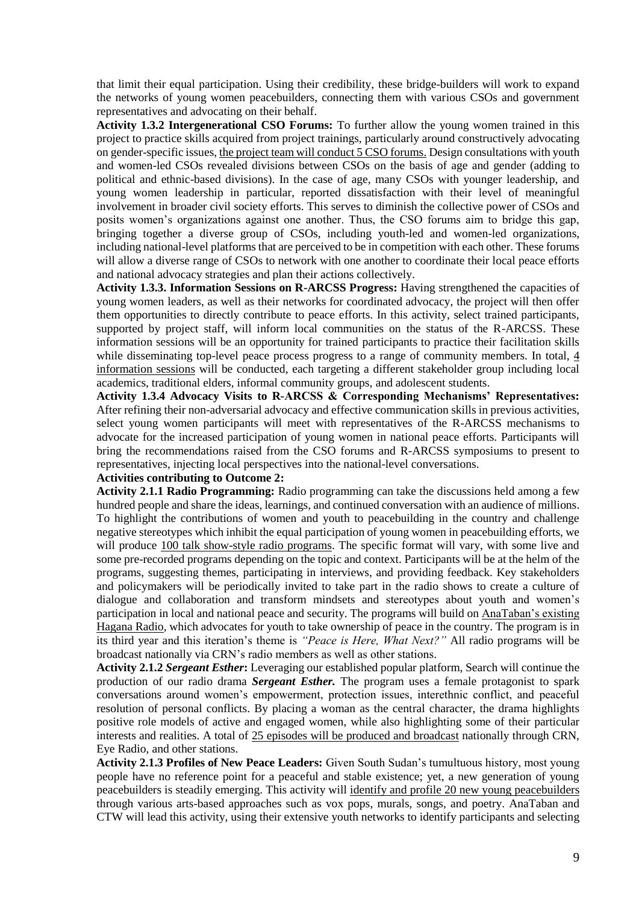that limit their equal participation. Using their credibility, these bridge-builders will work to expand the networks of young women peacebuilders, connecting them with various CSOs and government representatives and advocating on their behalf.

**Activity 1.3.2 Intergenerational CSO Forums:** To further allow the young women trained in this project to practice skills acquired from project trainings, particularly around constructively advocating on gender-specific issues, the project team will conduct 5 CSO forums. Design consultations with youth and women-led CSOs revealed divisions between CSOs on the basis of age and gender (adding to political and ethnic-based divisions). In the case of age, many CSOs with younger leadership, and young women leadership in particular, reported dissatisfaction with their level of meaningful involvement in broader civil society efforts. This serves to diminish the collective power of CSOs and posits women's organizations against one another. Thus, the CSO forums aim to bridge this gap, bringing together a diverse group of CSOs, including youth-led and women-led organizations, including national-level platforms that are perceived to be in competition with each other. These forums will allow a diverse range of CSOs to network with one another to coordinate their local peace efforts and national advocacy strategies and plan their actions collectively.

**Activity 1.3.3. Information Sessions on R-ARCSS Progress:** Having strengthened the capacities of young women leaders, as well as their networks for coordinated advocacy, the project will then offer them opportunities to directly contribute to peace efforts. In this activity, select trained participants, supported by project staff, will inform local communities on the status of the R-ARCSS. These information sessions will be an opportunity for trained participants to practice their facilitation skills while disseminating top-level peace process progress to a range of community members. In total, 4 information sessions will be conducted, each targeting a different stakeholder group including local academics, traditional elders, informal community groups, and adolescent students.

**Activity 1.3.4 Advocacy Visits to R-ARCSS & Corresponding Mechanisms' Representatives:** After refining their non-adversarial advocacy and effective communication skills in previous activities, select young women participants will meet with representatives of the R-ARCSS mechanisms to advocate for the increased participation of young women in national peace efforts. Participants will bring the recommendations raised from the CSO forums and R-ARCSS symposiums to present to representatives, injecting local perspectives into the national-level conversations.

### **Activities contributing to Outcome 2:**

**Activity 2.1.1 Radio Programming:** Radio programming can take the discussions held among a few hundred people and share the ideas, learnings, and continued conversation with an audience of millions. To highlight the contributions of women and youth to peacebuilding in the country and challenge negative stereotypes which inhibit the equal participation of young women in peacebuilding efforts, we will produce 100 talk show-style radio programs. The specific format will vary, with some live and some pre-recorded programs depending on the topic and context. Participants will be at the helm of the programs, suggesting themes, participating in interviews, and providing feedback. Key stakeholders and policymakers will be periodically invited to take part in the radio shows to create a culture of dialogue and collaboration and transform mindsets and stereotypes about youth and women's participation in local and national peace and security. The programs will build on AnaTaban's existing Hagana Radio, which advocates for youth to take ownership of peace in the country. The program is in its third year and this iteration's theme is *"Peace is Here, What Next?"* All radio programs will be broadcast nationally via CRN's radio members as well as other stations.

**Activity 2.1.2** *Sergeant Esther***:** Leveraging our established popular platform, Search will continue the production of our radio drama *Sergeant Esther.* The program uses a female protagonist to spark conversations around women's empowerment, protection issues, interethnic conflict, and peaceful resolution of personal conflicts. By placing a woman as the central character, the drama highlights positive role models of active and engaged women, while also highlighting some of their particular interests and realities. A total of 25 episodes will be produced and broadcast nationally through CRN, Eye Radio, and other stations.

**Activity 2.1.3 Profiles of New Peace Leaders:** Given South Sudan's tumultuous history, most young people have no reference point for a peaceful and stable existence; yet, a new generation of young peacebuilders is steadily emerging. This activity will identify and profile 20 new young peacebuilders through various arts-based approaches such as vox pops, murals, songs, and poetry. AnaTaban and CTW will lead this activity, using their extensive youth networks to identify participants and selecting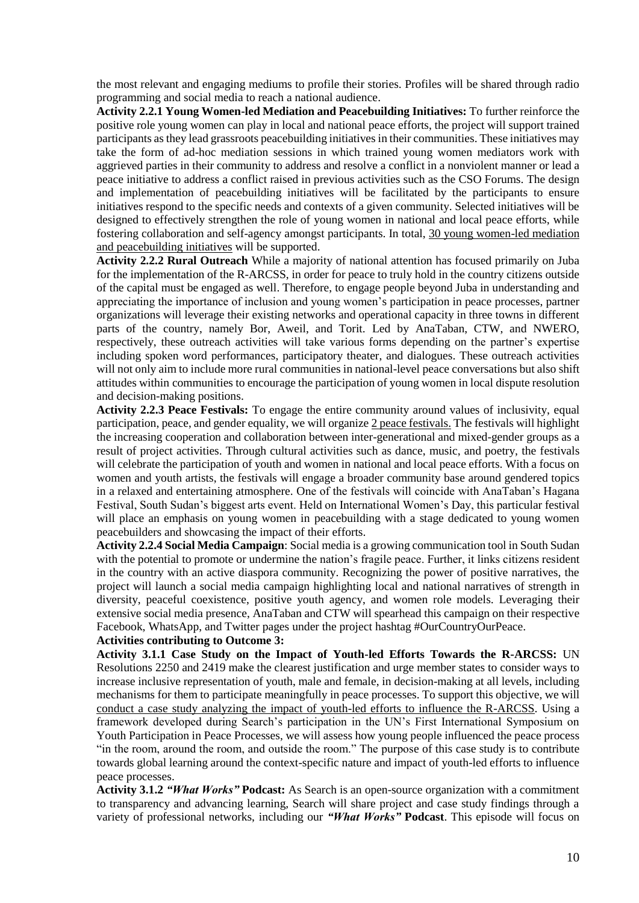the most relevant and engaging mediums to profile their stories. Profiles will be shared through radio programming and social media to reach a national audience.

**Activity 2.2.1 Young Women-led Mediation and Peacebuilding Initiatives:** To further reinforce the positive role young women can play in local and national peace efforts, the project will support trained participants as they lead grassroots peacebuilding initiatives in their communities. These initiatives may take the form of ad-hoc mediation sessions in which trained young women mediators work with aggrieved parties in their community to address and resolve a conflict in a nonviolent manner or lead a peace initiative to address a conflict raised in previous activities such as the CSO Forums. The design and implementation of peacebuilding initiatives will be facilitated by the participants to ensure initiatives respond to the specific needs and contexts of a given community. Selected initiatives will be designed to effectively strengthen the role of young women in national and local peace efforts, while fostering collaboration and self-agency amongst participants. In total, 30 young women-led mediation and peacebuilding initiatives will be supported.

**Activity 2.2.2 Rural Outreach** While a majority of national attention has focused primarily on Juba for the implementation of the R-ARCSS, in order for peace to truly hold in the country citizens outside of the capital must be engaged as well. Therefore, to engage people beyond Juba in understanding and appreciating the importance of inclusion and young women's participation in peace processes, partner organizations will leverage their existing networks and operational capacity in three towns in different parts of the country, namely Bor, Aweil, and Torit. Led by AnaTaban, CTW, and NWERO, respectively, these outreach activities will take various forms depending on the partner's expertise including spoken word performances, participatory theater, and dialogues. These outreach activities will not only aim to include more rural communities in national-level peace conversations but also shift attitudes within communities to encourage the participation of young women in local dispute resolution and decision-making positions.

**Activity 2.2.3 Peace Festivals:** To engage the entire community around values of inclusivity, equal participation, peace, and gender equality, we will organize 2 peace festivals. The festivals will highlight the increasing cooperation and collaboration between inter-generational and mixed-gender groups as a result of project activities. Through cultural activities such as dance, music, and poetry, the festivals will celebrate the participation of youth and women in national and local peace efforts. With a focus on women and youth artists, the festivals will engage a broader community base around gendered topics in a relaxed and entertaining atmosphere. One of the festivals will coincide with AnaTaban's Hagana Festival, South Sudan's biggest arts event. Held on International Women's Day, this particular festival will place an emphasis on young women in peacebuilding with a stage dedicated to young women peacebuilders and showcasing the impact of their efforts.

**Activity 2.2.4 Social Media Campaign**: Social media is a growing communication tool in South Sudan with the potential to promote or undermine the nation's fragile peace. Further, it links citizens resident in the country with an active diaspora community. Recognizing the power of positive narratives, the project will launch a social media campaign highlighting local and national narratives of strength in diversity, peaceful coexistence, positive youth agency, and women role models. Leveraging their extensive social media presence, AnaTaban and CTW will spearhead this campaign on their respective Facebook, WhatsApp, and Twitter pages under the project hashtag #OurCountryOurPeace.

# **Activities contributing to Outcome 3:**

**Activity 3.1.1 Case Study on the Impact of Youth-led Efforts Towards the R-ARCSS:** UN Resolutions 2250 and 2419 make the clearest justification and urge member states to consider ways to increase inclusive representation of youth, male and female, in decision-making at all levels, including mechanisms for them to participate meaningfully in peace processes. To support this objective, we will conduct a case study analyzing the impact of youth-led efforts to influence the R-ARCSS. Using a framework developed during Search's participation in the UN's First International Symposium on Youth Participation in Peace Processes, we will assess how young people influenced the peace process "in the room, around the room, and outside the room." The purpose of this case study is to contribute towards global learning around the context-specific nature and impact of youth-led efforts to influence peace processes.

**Activity 3.1.2** *"What Works"* **Podcast:** As Search is an open-source organization with a commitment to transparency and advancing learning, Search will share project and case study findings through a variety of professional networks, including our *"What Works"* **Podcast**. This episode will focus on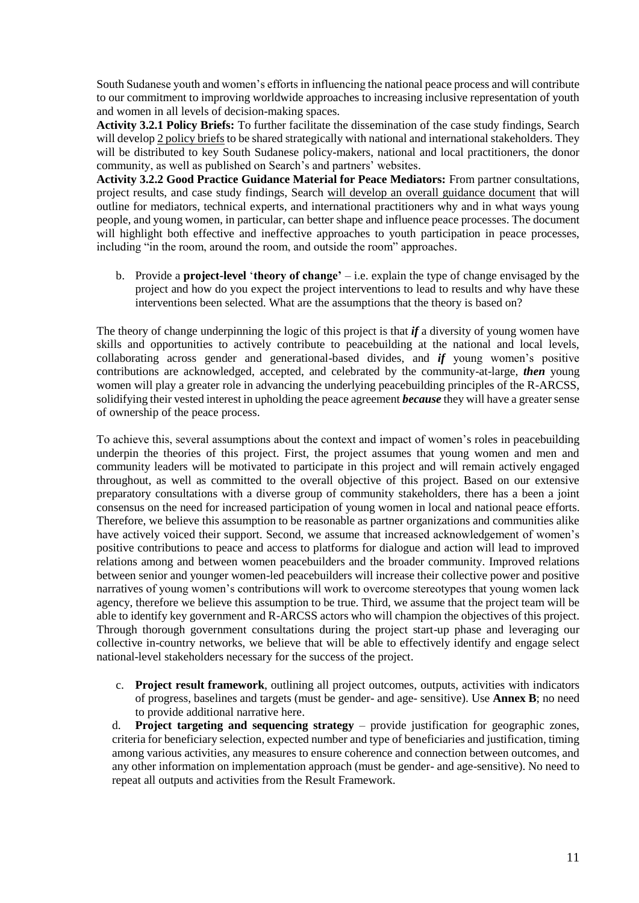South Sudanese youth and women's efforts in influencing the national peace process and will contribute to our commitment to improving worldwide approaches to increasing inclusive representation of youth and women in all levels of decision-making spaces.

**Activity 3.2.1 Policy Briefs:** To further facilitate the dissemination of the case study findings, Search will develop 2 policy briefs to be shared strategically with national and international stakeholders. They will be distributed to key South Sudanese policy-makers, national and local practitioners, the donor community, as well as published on Search's and partners' websites.

**Activity 3.2.2 Good Practice Guidance Material for Peace Mediators:** From partner consultations, project results, and case study findings, Search will develop an overall guidance document that will outline for mediators, technical experts, and international practitioners why and in what ways young people, and young women, in particular, can better shape and influence peace processes. The document will highlight both effective and ineffective approaches to youth participation in peace processes, including "in the room, around the room, and outside the room" approaches.

b. Provide a **project-level** '**theory of change'** – i.e. explain the type of change envisaged by the project and how do you expect the project interventions to lead to results and why have these interventions been selected. What are the assumptions that the theory is based on?

The theory of change underpinning the logic of this project is that *if* a diversity of young women have skills and opportunities to actively contribute to peacebuilding at the national and local levels, collaborating across gender and generational-based divides, and *if* young women's positive contributions are acknowledged, accepted, and celebrated by the community-at-large, *then* young women will play a greater role in advancing the underlying peacebuilding principles of the R-ARCSS, solidifying their vested interest in upholding the peace agreement *because* they will have a greater sense of ownership of the peace process.

To achieve this, several assumptions about the context and impact of women's roles in peacebuilding underpin the theories of this project. First, the project assumes that young women and men and community leaders will be motivated to participate in this project and will remain actively engaged throughout, as well as committed to the overall objective of this project. Based on our extensive preparatory consultations with a diverse group of community stakeholders, there has a been a joint consensus on the need for increased participation of young women in local and national peace efforts. Therefore, we believe this assumption to be reasonable as partner organizations and communities alike have actively voiced their support. Second, we assume that increased acknowledgement of women's positive contributions to peace and access to platforms for dialogue and action will lead to improved relations among and between women peacebuilders and the broader community. Improved relations between senior and younger women-led peacebuilders will increase their collective power and positive narratives of young women's contributions will work to overcome stereotypes that young women lack agency, therefore we believe this assumption to be true. Third, we assume that the project team will be able to identify key government and R-ARCSS actors who will champion the objectives of this project. Through thorough government consultations during the project start-up phase and leveraging our collective in-country networks, we believe that will be able to effectively identify and engage select national-level stakeholders necessary for the success of the project.

c. **Project result framework**, outlining all project outcomes, outputs, activities with indicators of progress, baselines and targets (must be gender- and age- sensitive). Use **Annex B**; no need to provide additional narrative here.

d. **Project targeting and sequencing strategy** – provide justification for geographic zones, criteria for beneficiary selection, expected number and type of beneficiaries and justification, timing among various activities, any measures to ensure coherence and connection between outcomes, and any other information on implementation approach (must be gender- and age-sensitive). No need to repeat all outputs and activities from the Result Framework.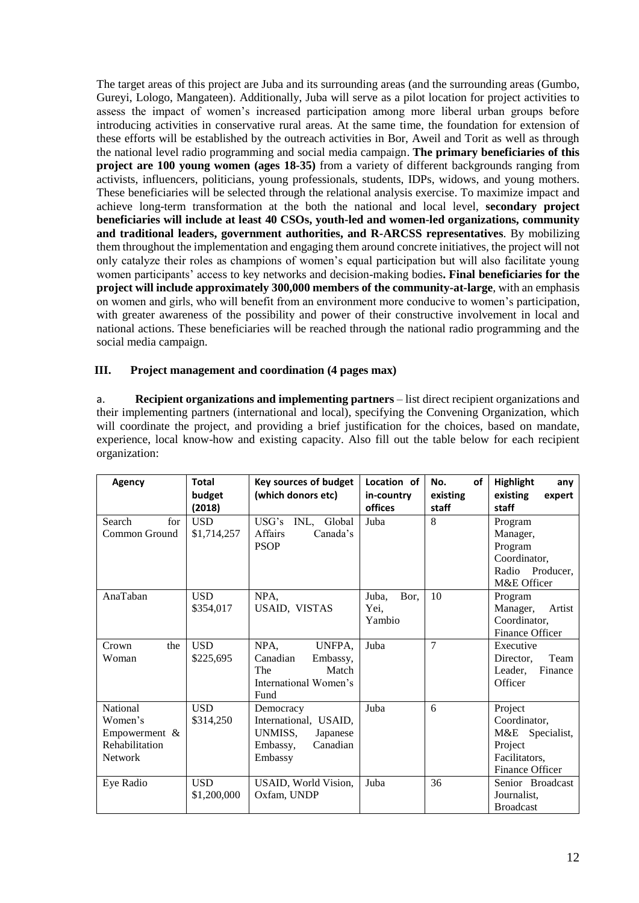The target areas of this project are Juba and its surrounding areas (and the surrounding areas (Gumbo, Gureyi, Lologo, Mangateen). Additionally, Juba will serve as a pilot location for project activities to assess the impact of women's increased participation among more liberal urban groups before introducing activities in conservative rural areas. At the same time, the foundation for extension of these efforts will be established by the outreach activities in Bor, Aweil and Torit as well as through the national level radio programming and social media campaign. **The primary beneficiaries of this project are 100 young women (ages 18-35)** from a variety of different backgrounds ranging from activists, influencers, politicians, young professionals, students, IDPs, widows, and young mothers. These beneficiaries will be selected through the relational analysis exercise. To maximize impact and achieve long-term transformation at the both the national and local level, **secondary project beneficiaries will include at least 40 CSOs, youth-led and women-led organizations, community and traditional leaders, government authorities, and R-ARCSS representatives**. By mobilizing them throughout the implementation and engaging them around concrete initiatives, the project will not only catalyze their roles as champions of women's equal participation but will also facilitate young women participants' access to key networks and decision-making bodies**. Final beneficiaries for the project will include approximately 300,000 members of the community-at-large**, with an emphasis on women and girls, who will benefit from an environment more conducive to women's participation, with greater awareness of the possibility and power of their constructive involvement in local and national actions. These beneficiaries will be reached through the national radio programming and the social media campaign.

# **III. Project management and coordination (4 pages max)**

a. **Recipient organizations and implementing partners** – list direct recipient organizations and their implementing partners (international and local), specifying the Convening Organization, which will coordinate the project, and providing a brief justification for the choices, based on mandate, experience, local know-how and existing capacity. Also fill out the table below for each recipient organization:

| Agency         | <b>Total</b> | <b>Key sources of budget</b> | Location of   | No.<br>οf      | <b>Highlight</b><br>any |
|----------------|--------------|------------------------------|---------------|----------------|-------------------------|
|                | budget       | (which donors etc)           | in-country    | existing       | existing<br>expert      |
|                | (2018)       |                              | offices       | staff          | staff                   |
| Search<br>for  | <b>USD</b>   | USG's<br>INL,<br>Global      | Juba          | 8              | Program                 |
| Common Ground  | \$1,714,257  | Affairs<br>Canada's          |               |                | Manager,                |
|                |              | <b>PSOP</b>                  |               |                | Program                 |
|                |              |                              |               |                | Coordinator,            |
|                |              |                              |               |                | Radio Producer,         |
|                |              |                              |               |                | M&E Officer             |
| AnaTaban       | <b>USD</b>   | NPA,                         | Bor,<br>Juba, | 10             | Program                 |
|                | \$354,017    | USAID, VISTAS                | Yei,          |                | Manager,<br>Artist      |
|                |              |                              | Yambio        |                | Coordinator,            |
|                |              |                              |               |                | Finance Officer         |
| Crown<br>the   | <b>USD</b>   | NPA,<br>UNFPA,               | Juba          | $\overline{7}$ | Executive               |
| Woman          | \$225,695    | Canadian<br>Embassy,         |               |                | Team<br>Director,       |
|                |              | Match<br>The                 |               |                | Leader,<br>Finance      |
|                |              | International Women's        |               |                | Officer                 |
|                |              | Fund                         |               |                |                         |
| National       | <b>USD</b>   | Democracy                    | Juba          | 6              | Project                 |
| Women's        | \$314,250    | International, USAID,        |               |                | Coordinator,            |
| Empowerment &  |              | UNMISS,<br>Japanese          |               |                | M&E Specialist,         |
| Rehabilitation |              | Canadian<br>Embassy,         |               |                | Project                 |
| <b>Network</b> |              | Embassy                      |               |                | Facilitators,           |
|                |              |                              |               |                | Finance Officer         |
| Eye Radio      | <b>USD</b>   | USAID, World Vision,         | Juba          | 36             | Senior Broadcast        |
|                | \$1,200,000  | Oxfam, UNDP                  |               |                | Journalist.             |
|                |              |                              |               |                | <b>Broadcast</b>        |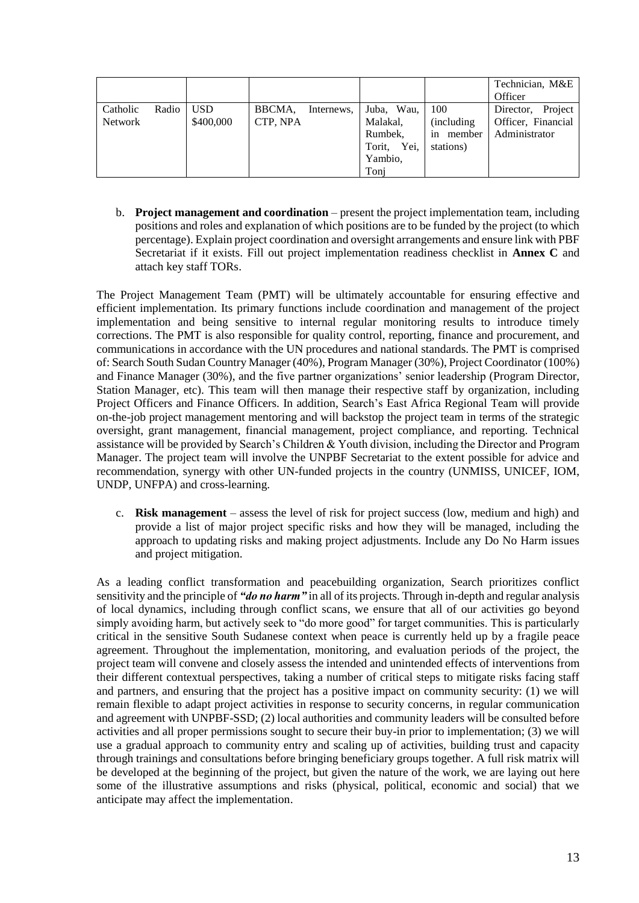|                |       |            |          |            |                |                    | Technician, M&E<br>Officer |
|----------------|-------|------------|----------|------------|----------------|--------------------|----------------------------|
| Catholic       | Radio | <b>USD</b> | BBCMA,   | Internews, | Wau,<br>Juba,  | 100                | Project<br>Director,       |
| <b>Network</b> |       | \$400,000  | CTP, NPA |            | Malakal,       | <i>(including)</i> | Officer, Financial         |
|                |       |            |          |            | Rumbek,        | member<br>in       | Administrator              |
|                |       |            |          |            | Yei.<br>Torit, | stations)          |                            |
|                |       |            |          |            | Yambio,        |                    |                            |
|                |       |            |          |            | Toni           |                    |                            |

b. **Project management and coordination** – present the project implementation team, including positions and roles and explanation of which positions are to be funded by the project (to which percentage). Explain project coordination and oversight arrangements and ensure link with PBF Secretariat if it exists. Fill out project implementation readiness checklist in **Annex C** and attach key staff TORs.

The Project Management Team (PMT) will be ultimately accountable for ensuring effective and efficient implementation. Its primary functions include coordination and management of the project implementation and being sensitive to internal regular monitoring results to introduce timely corrections. The PMT is also responsible for quality control, reporting, finance and procurement, and communications in accordance with the UN procedures and national standards. The PMT is comprised of: Search South Sudan Country Manager (40%), Program Manager (30%), Project Coordinator (100%) and Finance Manager (30%), and the five partner organizations' senior leadership (Program Director, Station Manager, etc). This team will then manage their respective staff by organization, including Project Officers and Finance Officers. In addition, Search's East Africa Regional Team will provide on-the-job project management mentoring and will backstop the project team in terms of the strategic oversight, grant management, financial management, project compliance, and reporting. Technical assistance will be provided by Search's Children & Youth division, including the Director and Program Manager. The project team will involve the UNPBF Secretariat to the extent possible for advice and recommendation, synergy with other UN-funded projects in the country (UNMISS, UNICEF, IOM, UNDP, UNFPA) and cross-learning.

c. **Risk management** – assess the level of risk for project success (low, medium and high) and provide a list of major project specific risks and how they will be managed, including the approach to updating risks and making project adjustments. Include any Do No Harm issues and project mitigation.

As a leading conflict transformation and peacebuilding organization, Search prioritizes conflict sensitivity and the principle of *"do no harm"* in all of its projects. Through in-depth and regular analysis of local dynamics, including through conflict scans, we ensure that all of our activities go beyond simply avoiding harm, but actively seek to "do more good" for target communities. This is particularly critical in the sensitive South Sudanese context when peace is currently held up by a fragile peace agreement. Throughout the implementation, monitoring, and evaluation periods of the project, the project team will convene and closely assess the intended and unintended effects of interventions from their different contextual perspectives, taking a number of critical steps to mitigate risks facing staff and partners, and ensuring that the project has a positive impact on community security: (1) we will remain flexible to adapt project activities in response to security concerns, in regular communication and agreement with UNPBF-SSD; (2) local authorities and community leaders will be consulted before activities and all proper permissions sought to secure their buy-in prior to implementation; (3) we will use a gradual approach to community entry and scaling up of activities, building trust and capacity through trainings and consultations before bringing beneficiary groups together. A full risk matrix will be developed at the beginning of the project, but given the nature of the work, we are laying out here some of the illustrative assumptions and risks (physical, political, economic and social) that we anticipate may affect the implementation.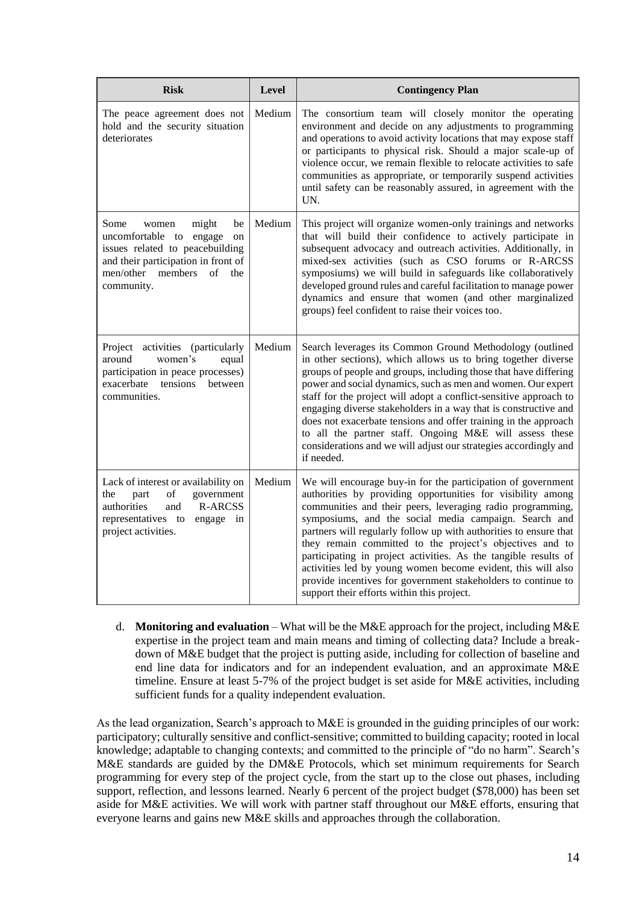| <b>Risk</b>                                                                                                                                                                             | <b>Level</b> | <b>Contingency Plan</b>                                                                                                                                                                                                                                                                                                                                                                                                                                                                                                                                                                                                               |
|-----------------------------------------------------------------------------------------------------------------------------------------------------------------------------------------|--------------|---------------------------------------------------------------------------------------------------------------------------------------------------------------------------------------------------------------------------------------------------------------------------------------------------------------------------------------------------------------------------------------------------------------------------------------------------------------------------------------------------------------------------------------------------------------------------------------------------------------------------------------|
| The peace agreement does not<br>hold and the security situation<br>deteriorates                                                                                                         | Medium       | The consortium team will closely monitor the operating<br>environment and decide on any adjustments to programming<br>and operations to avoid activity locations that may expose staff<br>or participants to physical risk. Should a major scale-up of<br>violence occur, we remain flexible to relocate activities to safe<br>communities as appropriate, or temporarily suspend activities<br>until safety can be reasonably assured, in agreement with the<br>UN.                                                                                                                                                                  |
| might<br>Some<br>be<br>women<br>uncomfortable to engage<br>on<br>issues related to peacebuilding<br>and their participation in front of<br>men/other members<br>of<br>the<br>community. | Medium       | This project will organize women-only trainings and networks<br>that will build their confidence to actively participate in<br>subsequent advocacy and outreach activities. Additionally, in<br>mixed-sex activities (such as CSO forums or R-ARCSS<br>symposiums) we will build in safeguards like collaboratively<br>developed ground rules and careful facilitation to manage power<br>dynamics and ensure that women (and other marginalized<br>groups) feel confident to raise their voices too.                                                                                                                                 |
| Project<br>activities (particularly<br>around<br>women's<br>equal<br>participation in peace processes)<br>tensions<br>exacerbate<br>between<br>communities.                             | Medium       | Search leverages its Common Ground Methodology (outlined<br>in other sections), which allows us to bring together diverse<br>groups of people and groups, including those that have differing<br>power and social dynamics, such as men and women. Our expert<br>staff for the project will adopt a conflict-sensitive approach to<br>engaging diverse stakeholders in a way that is constructive and<br>does not exacerbate tensions and offer training in the approach<br>to all the partner staff. Ongoing M&E will assess these<br>considerations and we will adjust our strategies accordingly and<br>if needed.                 |
| Lack of interest or availability on<br>of<br>government<br>the<br>part<br><b>R-ARCSS</b><br>authorities<br>and<br>representatives to<br>engage in<br>project activities.                | Medium       | We will encourage buy-in for the participation of government<br>authorities by providing opportunities for visibility among<br>communities and their peers, leveraging radio programming,<br>symposiums, and the social media campaign. Search and<br>partners will regularly follow up with authorities to ensure that<br>they remain committed to the project's objectives and to<br>participating in project activities. As the tangible results of<br>activities led by young women become evident, this will also<br>provide incentives for government stakeholders to continue to<br>support their efforts within this project. |

d. **Monitoring and evaluation** – What will be the M&E approach for the project, including M&E expertise in the project team and main means and timing of collecting data? Include a breakdown of M&E budget that the project is putting aside, including for collection of baseline and end line data for indicators and for an independent evaluation, and an approximate M&E timeline. Ensure at least 5-7% of the project budget is set aside for M&E activities, including sufficient funds for a quality independent evaluation.

As the lead organization, Search's approach to M&E is grounded in the guiding principles of our work: participatory; culturally sensitive and conflict-sensitive; committed to building capacity; rooted in local knowledge; adaptable to changing contexts; and committed to the principle of "do no harm". Search's M&E standards are guided by the DM&E Protocols, which set minimum requirements for Search programming for every step of the project cycle, from the start up to the close out phases, including support, reflection, and lessons learned. Nearly 6 percent of the project budget (\$78,000) has been set aside for M&E activities. We will work with partner staff throughout our M&E efforts, ensuring that everyone learns and gains new M&E skills and approaches through the collaboration.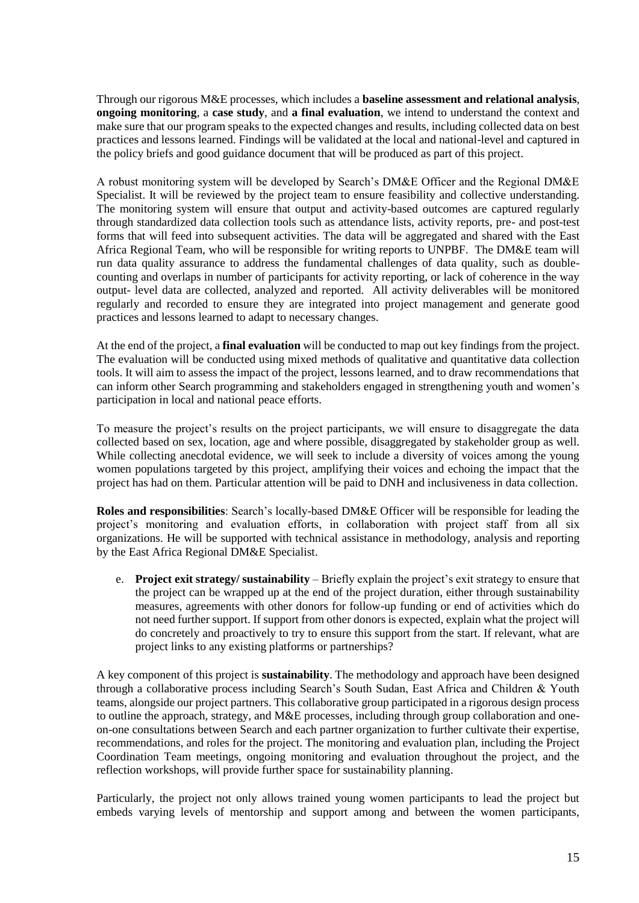Through our rigorous M&E processes, which includes a **baseline assessment and relational analysis**, **ongoing monitoring**, a **case study**, and **a final evaluation**, we intend to understand the context and make sure that our program speaks to the expected changes and results, including collected data on best practices and lessons learned. Findings will be validated at the local and national-level and captured in the policy briefs and good guidance document that will be produced as part of this project.

A robust monitoring system will be developed by Search's DM&E Officer and the Regional DM&E Specialist. It will be reviewed by the project team to ensure feasibility and collective understanding. The monitoring system will ensure that output and activity-based outcomes are captured regularly through standardized data collection tools such as attendance lists, activity reports, pre- and post-test forms that will feed into subsequent activities. The data will be aggregated and shared with the East Africa Regional Team, who will be responsible for writing reports to UNPBF. The DM&E team will run data quality assurance to address the fundamental challenges of data quality, such as doublecounting and overlaps in number of participants for activity reporting, or lack of coherence in the way output- level data are collected, analyzed and reported. All activity deliverables will be monitored regularly and recorded to ensure they are integrated into project management and generate good practices and lessons learned to adapt to necessary changes.

At the end of the project, a **final evaluation** will be conducted to map out key findings from the project. The evaluation will be conducted using mixed methods of qualitative and quantitative data collection tools. It will aim to assess the impact of the project, lessons learned, and to draw recommendations that can inform other Search programming and stakeholders engaged in strengthening youth and women's participation in local and national peace efforts.

To measure the project's results on the project participants, we will ensure to disaggregate the data collected based on sex, location, age and where possible, disaggregated by stakeholder group as well. While collecting anecdotal evidence, we will seek to include a diversity of voices among the young women populations targeted by this project, amplifying their voices and echoing the impact that the project has had on them. Particular attention will be paid to DNH and inclusiveness in data collection.

**Roles and responsibilities**: Search's locally-based DM&E Officer will be responsible for leading the project's monitoring and evaluation efforts, in collaboration with project staff from all six organizations. He will be supported with technical assistance in methodology, analysis and reporting by the East Africa Regional DM&E Specialist.

e. **Project exit strategy/ sustainability** – Briefly explain the project's exit strategy to ensure that the project can be wrapped up at the end of the project duration, either through sustainability measures, agreements with other donors for follow-up funding or end of activities which do not need further support. If support from other donors is expected, explain what the project will do concretely and proactively to try to ensure this support from the start. If relevant, what are project links to any existing platforms or partnerships?

A key component of this project is **sustainability**. The methodology and approach have been designed through a collaborative process including Search's South Sudan, East Africa and Children & Youth teams, alongside our project partners. This collaborative group participated in a rigorous design process to outline the approach, strategy, and M&E processes, including through group collaboration and oneon-one consultations between Search and each partner organization to further cultivate their expertise, recommendations, and roles for the project. The monitoring and evaluation plan, including the Project Coordination Team meetings, ongoing monitoring and evaluation throughout the project, and the reflection workshops, will provide further space for sustainability planning.

Particularly, the project not only allows trained young women participants to lead the project but embeds varying levels of mentorship and support among and between the women participants,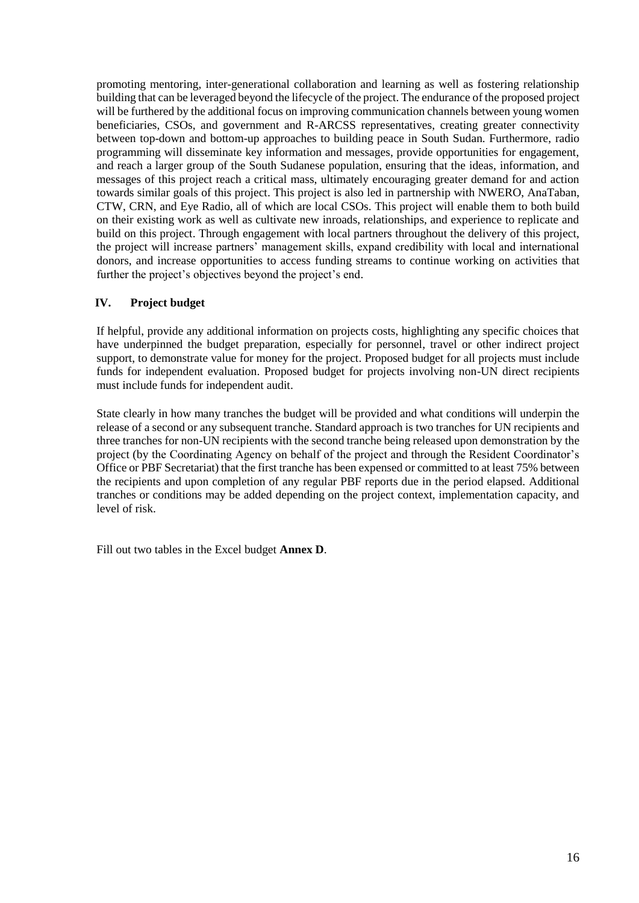promoting mentoring, inter-generational collaboration and learning as well as fostering relationship building that can be leveraged beyond the lifecycle of the project. The endurance of the proposed project will be furthered by the additional focus on improving communication channels between young women beneficiaries, CSOs, and government and R-ARCSS representatives, creating greater connectivity between top-down and bottom-up approaches to building peace in South Sudan. Furthermore, radio programming will disseminate key information and messages, provide opportunities for engagement, and reach a larger group of the South Sudanese population, ensuring that the ideas, information, and messages of this project reach a critical mass, ultimately encouraging greater demand for and action towards similar goals of this project. This project is also led in partnership with NWERO, AnaTaban, CTW, CRN, and Eye Radio, all of which are local CSOs. This project will enable them to both build on their existing work as well as cultivate new inroads, relationships, and experience to replicate and build on this project. Through engagement with local partners throughout the delivery of this project, the project will increase partners' management skills, expand credibility with local and international donors, and increase opportunities to access funding streams to continue working on activities that further the project's objectives beyond the project's end.

# **IV. Project budget**

If helpful, provide any additional information on projects costs, highlighting any specific choices that have underpinned the budget preparation, especially for personnel, travel or other indirect project support, to demonstrate value for money for the project. Proposed budget for all projects must include funds for independent evaluation. Proposed budget for projects involving non-UN direct recipients must include funds for independent audit.

State clearly in how many tranches the budget will be provided and what conditions will underpin the release of a second or any subsequent tranche. Standard approach is two tranches for UN recipients and three tranches for non-UN recipients with the second tranche being released upon demonstration by the project (by the Coordinating Agency on behalf of the project and through the Resident Coordinator's Office or PBF Secretariat) that the first tranche has been expensed or committed to at least 75% between the recipients and upon completion of any regular PBF reports due in the period elapsed. Additional tranches or conditions may be added depending on the project context, implementation capacity, and level of risk.

Fill out two tables in the Excel budget **Annex D**.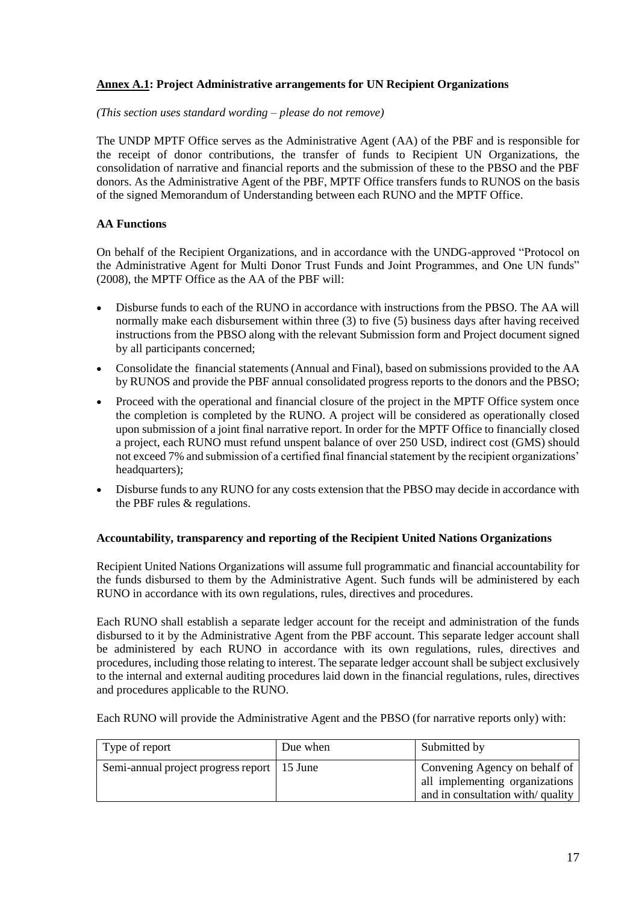# **Annex A.1: Project Administrative arrangements for UN Recipient Organizations**

*(This section uses standard wording – please do not remove)*

The UNDP MPTF Office serves as the Administrative Agent (AA) of the PBF and is responsible for the receipt of donor contributions, the transfer of funds to Recipient UN Organizations, the consolidation of narrative and financial reports and the submission of these to the PBSO and the PBF donors. As the Administrative Agent of the PBF, MPTF Office transfers funds to RUNOS on the basis of the [signed Memorandum of Understanding](http://mptf.undp.org/document/download/10425) between each RUNO and the MPTF Office.

### **AA Functions**

On behalf of the Recipient Organizations, and in accordance with the UNDG-approved "Protocol on the Administrative Agent for Multi Donor Trust Funds and Joint Programmes, and One UN funds" (2008), the MPTF Office as the AA of the PBF will:

- Disburse funds to each of the RUNO in accordance with instructions from the PBSO. The AA will normally make each disbursement within three (3) to five (5) business days after having received instructions from the PBSO along with the relevant Submission form and Project document signed by all participants concerned;
- Consolidate the financial statements (Annual and Final), based on submissions provided to the AA by RUNOS and provide the PBF annual consolidated progress reports to the donors and the PBSO;
- Proceed with the operational and financial closure of the project in the MPTF Office system once the completion is completed by the RUNO. A project will be considered as operationally closed upon submission of a joint final narrative report. In order for the MPTF Office to financially closed a project, each RUNO must refund unspent balance of over 250 USD, indirect cost (GMS) should not exceed 7% and submission of a certified final financial statement by the recipient organizations' headquarters);
- Disburse funds to any RUNO for any costs extension that the PBSO may decide in accordance with the PBF rules & regulations.

### **Accountability, transparency and reporting of the Recipient United Nations Organizations**

Recipient United Nations Organizations will assume full programmatic and financial accountability for the funds disbursed to them by the Administrative Agent. Such funds will be administered by each RUNO in accordance with its own regulations, rules, directives and procedures.

Each RUNO shall establish a separate ledger account for the receipt and administration of the funds disbursed to it by the Administrative Agent from the PBF account. This separate ledger account shall be administered by each RUNO in accordance with its own regulations, rules, directives and procedures, including those relating to interest. The separate ledger account shall be subject exclusively to the internal and external auditing procedures laid down in the financial regulations, rules, directives and procedures applicable to the RUNO.

Each RUNO will provide the Administrative Agent and the PBSO (for narrative reports only) with:

| Type of report                                | Due when | Submitted by                     |
|-----------------------------------------------|----------|----------------------------------|
| Semi-annual project progress report   15 June |          | Convening Agency on behalf of    |
|                                               |          | all implementing organizations   |
|                                               |          | and in consultation with/quality |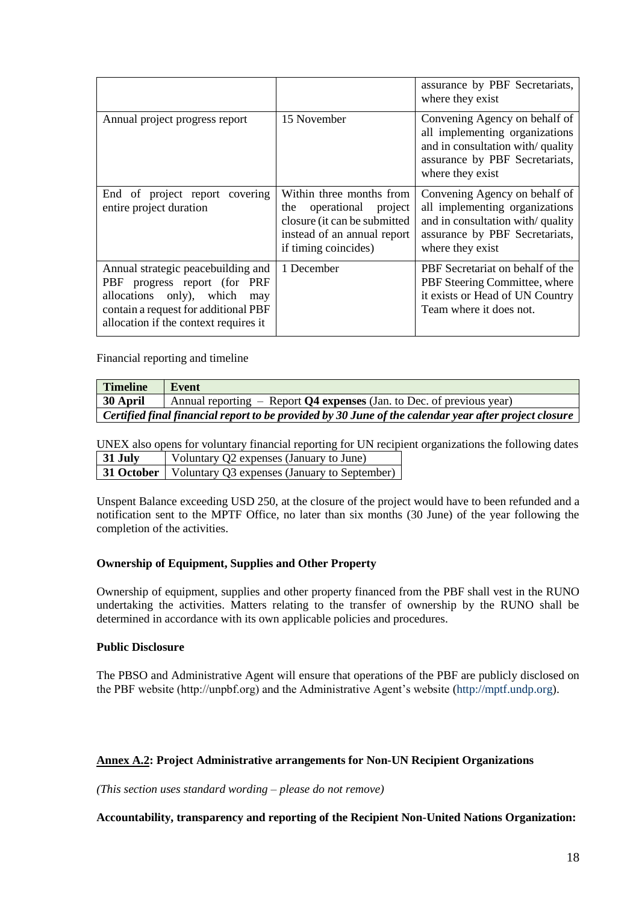|                                                                                                                                                                                           |                                                                                                                                               | assurance by PBF Secretariats,<br>where they exist                                                                                                        |
|-------------------------------------------------------------------------------------------------------------------------------------------------------------------------------------------|-----------------------------------------------------------------------------------------------------------------------------------------------|-----------------------------------------------------------------------------------------------------------------------------------------------------------|
| Annual project progress report                                                                                                                                                            | 15 November                                                                                                                                   | Convening Agency on behalf of<br>all implementing organizations<br>and in consultation with/quality<br>assurance by PBF Secretariats,<br>where they exist |
| End of project report covering<br>entire project duration                                                                                                                                 | Within three months from<br>operational project<br>the<br>closure (it can be submitted<br>instead of an annual report<br>if timing coincides) | Convening Agency on behalf of<br>all implementing organizations<br>and in consultation with/quality<br>assurance by PBF Secretariats,<br>where they exist |
| Annual strategic peacebuilding and<br>progress report (for PRF<br>PBF<br>allocations only), which<br>may<br>contain a request for additional PBF<br>allocation if the context requires it | 1 December                                                                                                                                    | PBF Secretariat on behalf of the<br>PBF Steering Committee, where<br>it exists or Head of UN Country<br>Team where it does not.                           |

Financial reporting and timeline

| <b>Timeline</b> | <b>Event</b>                                                                                          |
|-----------------|-------------------------------------------------------------------------------------------------------|
| 30 April        | Annual reporting $-$ Report <b>Q4 expenses</b> (Jan. to Dec. of previous year)                        |
|                 | Certified final financial report to be provided by 30 June of the calendar year after project closure |

UNEX also opens for voluntary financial reporting for UN recipient organizations the following dates **31 July** Voluntary Q2 expenses (January to June) **31 October** Voluntary Q3 expenses (January to September)

Unspent Balance exceeding USD 250, at the closure of the project would have to been refunded and a notification sent to the MPTF Office, no later than six months (30 June) of the year following the completion of the activities.

# **Ownership of Equipment, Supplies and Other Property**

Ownership of equipment, supplies and other property financed from the PBF shall vest in the RUNO undertaking the activities. Matters relating to the transfer of ownership by the RUNO shall be determined in accordance with its own applicable policies and procedures.

### **Public Disclosure**

The PBSO and Administrative Agent will ensure that operations of the PBF are publicly disclosed on the PBF website (http://unpbf.org) and the Administrative Agent's website [\(http://mptf.undp.org\)](http://mptf.undp.org/).

### **Annex A.2: Project Administrative arrangements for Non-UN Recipient Organizations**

*(This section uses standard wording – please do not remove)*

### **Accountability, transparency and reporting of the Recipient Non-United Nations Organization:**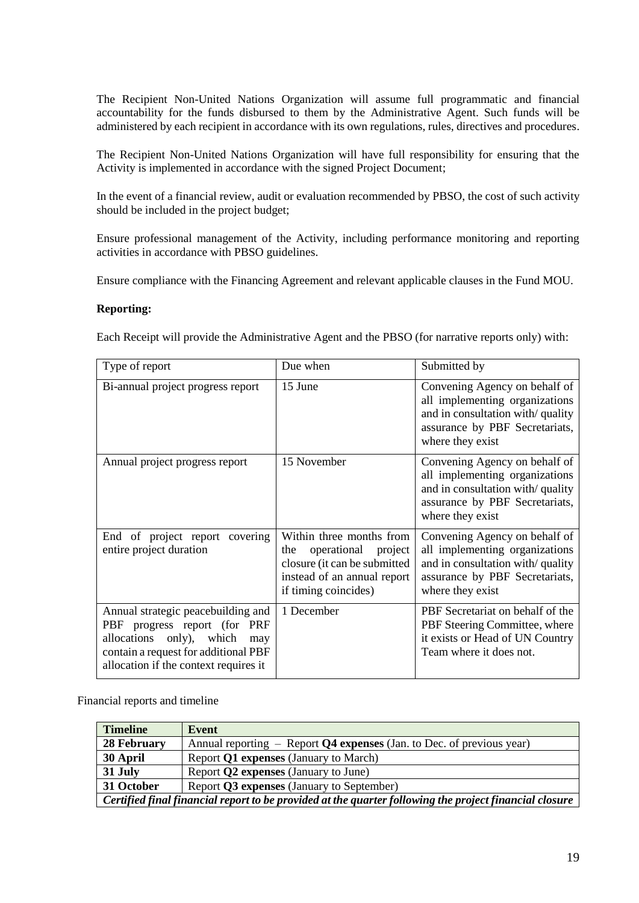The Recipient Non-United Nations Organization will assume full programmatic and financial accountability for the funds disbursed to them by the Administrative Agent. Such funds will be administered by each recipient in accordance with its own regulations, rules, directives and procedures.

The Recipient Non-United Nations Organization will have full responsibility for ensuring that the Activity is implemented in accordance with the signed Project Document;

In the event of a financial review, audit or evaluation recommended by PBSO, the cost of such activity should be included in the project budget;

Ensure professional management of the Activity, including performance monitoring and reporting activities in accordance with PBSO guidelines.

Ensure compliance with the Financing Agreement and relevant applicable clauses in the Fund MOU.

#### **Reporting:**

Each Receipt will provide the Administrative Agent and the PBSO (for narrative reports only) with:

| Type of report                                                                                                                                                                            | Due when                                                                                                                                         | Submitted by                                                                                                                                              |
|-------------------------------------------------------------------------------------------------------------------------------------------------------------------------------------------|--------------------------------------------------------------------------------------------------------------------------------------------------|-----------------------------------------------------------------------------------------------------------------------------------------------------------|
| Bi-annual project progress report                                                                                                                                                         | 15 June                                                                                                                                          | Convening Agency on behalf of<br>all implementing organizations<br>and in consultation with/quality<br>assurance by PBF Secretariats,<br>where they exist |
| Annual project progress report                                                                                                                                                            | 15 November                                                                                                                                      | Convening Agency on behalf of<br>all implementing organizations<br>and in consultation with/quality<br>assurance by PBF Secretariats,<br>where they exist |
| End of project report covering<br>entire project duration                                                                                                                                 | Within three months from<br>operational<br>project<br>the<br>closure (it can be submitted<br>instead of an annual report<br>if timing coincides) | Convening Agency on behalf of<br>all implementing organizations<br>and in consultation with/quality<br>assurance by PBF Secretariats,<br>where they exist |
| Annual strategic peacebuilding and<br>progress report (for PRF<br>PBF<br>allocations only), which<br>may<br>contain a request for additional PBF<br>allocation if the context requires it | 1 December                                                                                                                                       | PBF Secretariat on behalf of the<br>PBF Steering Committee, where<br>it exists or Head of UN Country<br>Team where it does not.                           |

Financial reports and timeline

| <b>Timeline</b>                                                                                        | Event                                                                   |  |
|--------------------------------------------------------------------------------------------------------|-------------------------------------------------------------------------|--|
| 28 February                                                                                            | Annual reporting $-$ Report Q4 expenses (Jan. to Dec. of previous year) |  |
| 30 April                                                                                               | Report Q1 expenses (January to March)                                   |  |
| 31 July                                                                                                | Report Q2 expenses (January to June)                                    |  |
| 31 October                                                                                             | Report Q3 expenses (January to September)                               |  |
| Certified final financial report to be provided at the quarter following the project financial closure |                                                                         |  |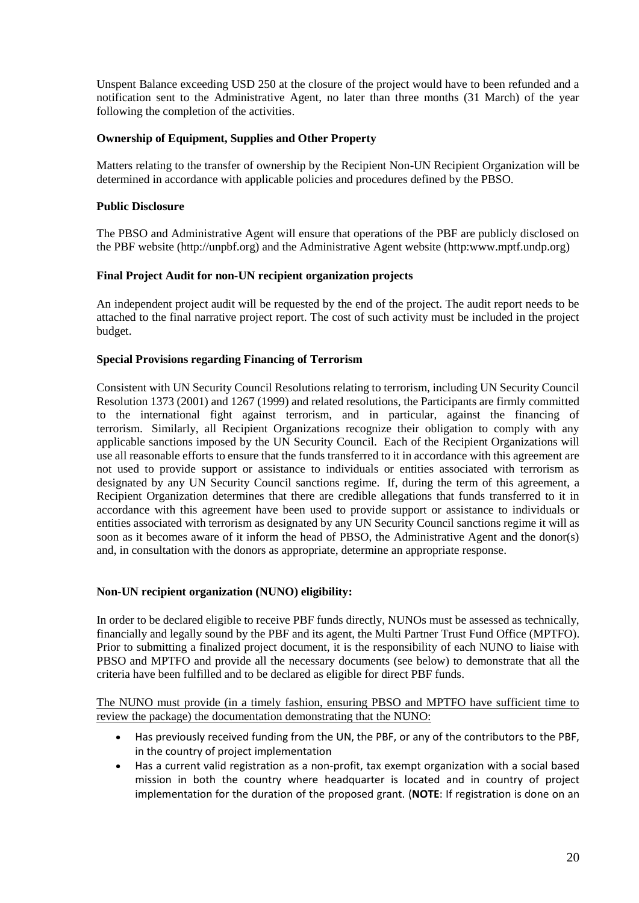Unspent Balance exceeding USD 250 at the closure of the project would have to been refunded and a notification sent to the Administrative Agent, no later than three months (31 March) of the year following the completion of the activities.

### **Ownership of Equipment, Supplies and Other Property**

Matters relating to the transfer of ownership by the Recipient Non-UN Recipient Organization will be determined in accordance with applicable policies and procedures defined by the PBSO.

### **Public Disclosure**

The PBSO and Administrative Agent will ensure that operations of the PBF are publicly disclosed on the PBF website (http://unpbf.org) and the Administrative Agent website (http:www.mptf.undp.org)

### **Final Project Audit for non-UN recipient organization projects**

An independent project audit will be requested by the end of the project. The audit report needs to be attached to the final narrative project report. The cost of such activity must be included in the project budget.

### **Special Provisions regarding Financing of Terrorism**

Consistent with UN Security Council Resolutions relating to terrorism, including UN Security Council Resolution 1373 (2001) and 1267 (1999) and related resolutions, the Participants are firmly committed to the international fight against terrorism, and in particular, against the financing of terrorism. Similarly, all Recipient Organizations recognize their obligation to comply with any applicable sanctions imposed by the UN Security Council. Each of the Recipient Organizations will use all reasonable efforts to ensure that the funds transferred to it in accordance with this agreement are not used to provide support or assistance to individuals or entities associated with terrorism as designated by any UN Security Council sanctions regime. If, during the term of this agreement, a Recipient Organization determines that there are credible allegations that funds transferred to it in accordance with this agreement have been used to provide support or assistance to individuals or entities associated with terrorism as designated by any UN Security Council sanctions regime it will as soon as it becomes aware of it inform the head of PBSO, the Administrative Agent and the donor(s) and, in consultation with the donors as appropriate, determine an appropriate response.

### **Non-UN recipient organization (NUNO) eligibility:**

In order to be declared eligible to receive PBF funds directly, NUNOs must be assessed as technically, financially and legally sound by the PBF and its agent, the [Multi Partner Trust Fund Office \(MPTFO\).](http://mptf.undp.org/overview/office) Prior to submitting a finalized project document, it is the responsibility of each NUNO to liaise with PBSO and MPTFO and provide all the necessary documents (see below) to demonstrate that all the criteria have been fulfilled and to be declared as eligible for direct PBF funds.

The NUNO must provide (in a timely fashion, ensuring PBSO and MPTFO have sufficient time to review the package) the documentation demonstrating that the NUNO:

- Has previously received funding from the UN, the PBF, or any of the contributors to the PBF, in the country of project implementation
- Has a current valid registration as a non-profit, tax exempt organization with a social based mission in both the country where headquarter is located and in country of project implementation for the duration of the proposed grant. (**NOTE**: If registration is done on an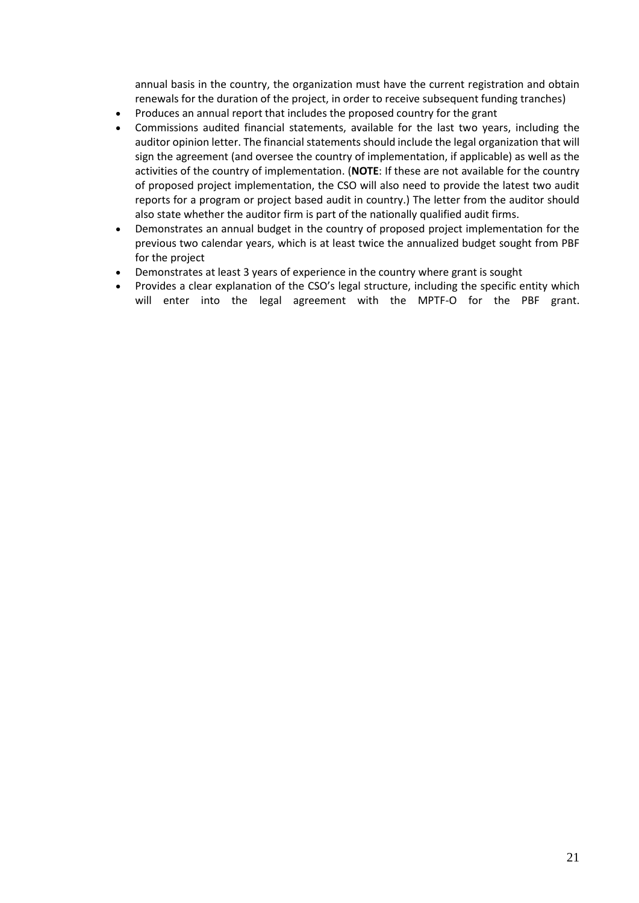annual basis in the country, the organization must have the current registration and obtain renewals for the duration of the project, in order to receive subsequent funding tranches)

- Produces an annual report that includes the proposed country for the grant
- Commissions audited financial statements, available for the last two years, including the auditor opinion letter. The financial statements should include the legal organization that will sign the agreement (and oversee the country of implementation, if applicable) as well as the activities of the country of implementation. (**NOTE**: If these are not available for the country of proposed project implementation, the CSO will also need to provide the latest two audit reports for a program or project based audit in country.) The letter from the auditor should also state whether the auditor firm is part of the nationally qualified audit firms.
- Demonstrates an annual budget in the country of proposed project implementation for the previous two calendar years, which is at least twice the annualized budget sought from PBF for the project
- Demonstrates at least 3 years of experience in the country where grant is sought
- Provides a clear explanation of the CSO's legal structure, including the specific entity which will enter into the legal agreement with the MPTF-O for the PBF grant.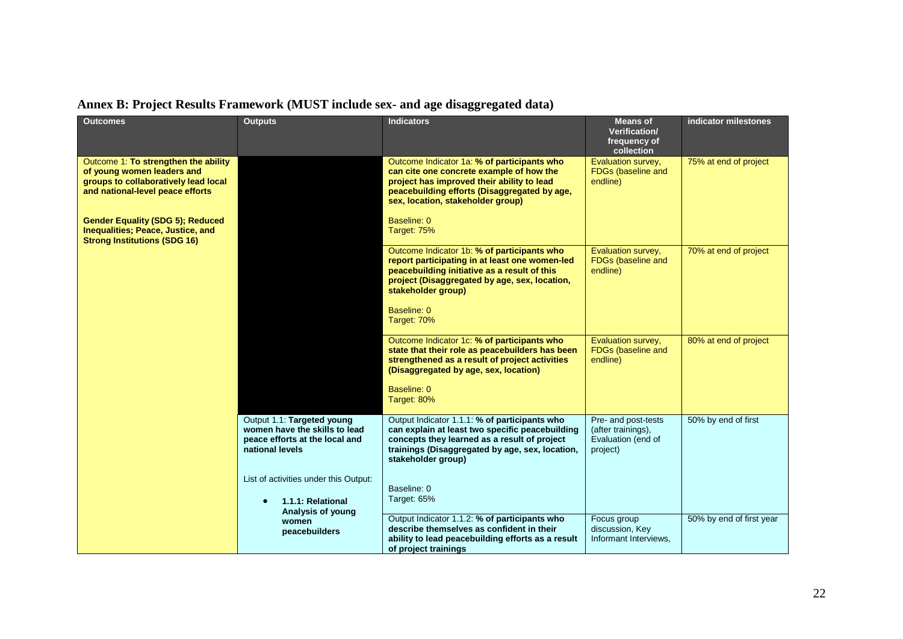# **Annex B: Project Results Framework (MUST include sex- and age disaggregated data)**

| <b>Outcomes</b>                                                                                                                                | <b>Outputs</b>                                                                                                   | <b>Indicators</b>                                                                                                                                                                                                          | <b>Means of</b><br>Verification/<br>frequency of<br>collection              | indicator milestones     |
|------------------------------------------------------------------------------------------------------------------------------------------------|------------------------------------------------------------------------------------------------------------------|----------------------------------------------------------------------------------------------------------------------------------------------------------------------------------------------------------------------------|-----------------------------------------------------------------------------|--------------------------|
| Outcome 1: To strengthen the ability<br>of young women leaders and<br>groups to collaboratively lead local<br>and national-level peace efforts |                                                                                                                  | Outcome Indicator 1a: % of participants who<br>can cite one concrete example of how the<br>project has improved their ability to lead<br>peacebuilding efforts (Disaggregated by age,<br>sex, location, stakeholder group) | Evaluation survey,<br>FDGs (baseline and<br>endline)                        | 75% at end of project    |
| <b>Gender Equality (SDG 5); Reduced</b><br><b>Inequalities: Peace, Justice, and</b><br><b>Strong Institutions (SDG 16)</b>                     |                                                                                                                  | Baseline: 0<br>Target: 75%                                                                                                                                                                                                 |                                                                             |                          |
|                                                                                                                                                |                                                                                                                  | Outcome Indicator 1b: % of participants who<br>report participating in at least one women-led<br>peacebuilding initiative as a result of this<br>project (Disaggregated by age, sex, location,<br>stakeholder group)       | Evaluation survey,<br>FDGs (baseline and<br>endline)                        | 70% at end of project    |
|                                                                                                                                                |                                                                                                                  | Baseline: 0<br>Target: 70%                                                                                                                                                                                                 |                                                                             |                          |
|                                                                                                                                                |                                                                                                                  | Outcome Indicator 1c: % of participants who<br>state that their role as peacebuilders has been<br>strengthened as a result of project activities<br>(Disaggregated by age, sex, location)<br>Baseline: 0                   | Evaluation survey,<br>FDGs (baseline and<br>endline)                        | 80% at end of project    |
|                                                                                                                                                |                                                                                                                  | Target: 80%                                                                                                                                                                                                                |                                                                             |                          |
|                                                                                                                                                | Output 1.1: Targeted young<br>women have the skills to lead<br>peace efforts at the local and<br>national levels | Output Indicator 1.1.1: % of participants who<br>can explain at least two specific peacebuilding<br>concepts they learned as a result of project<br>trainings (Disaggregated by age, sex, location,<br>stakeholder group)  | Pre- and post-tests<br>(after trainings),<br>Evaluation (end of<br>project) | 50% by end of first      |
|                                                                                                                                                | List of activities under this Output:<br>1.1.1: Relational<br>Analysis of young                                  | Baseline: 0<br>Target: 65%                                                                                                                                                                                                 |                                                                             |                          |
|                                                                                                                                                | women<br>peacebuilders                                                                                           | Output Indicator 1.1.2: % of participants who<br>describe themselves as confident in their<br>ability to lead peacebuilding efforts as a result<br>of project trainings                                                    | Focus group<br>discussion, Key<br>Informant Interviews,                     | 50% by end of first year |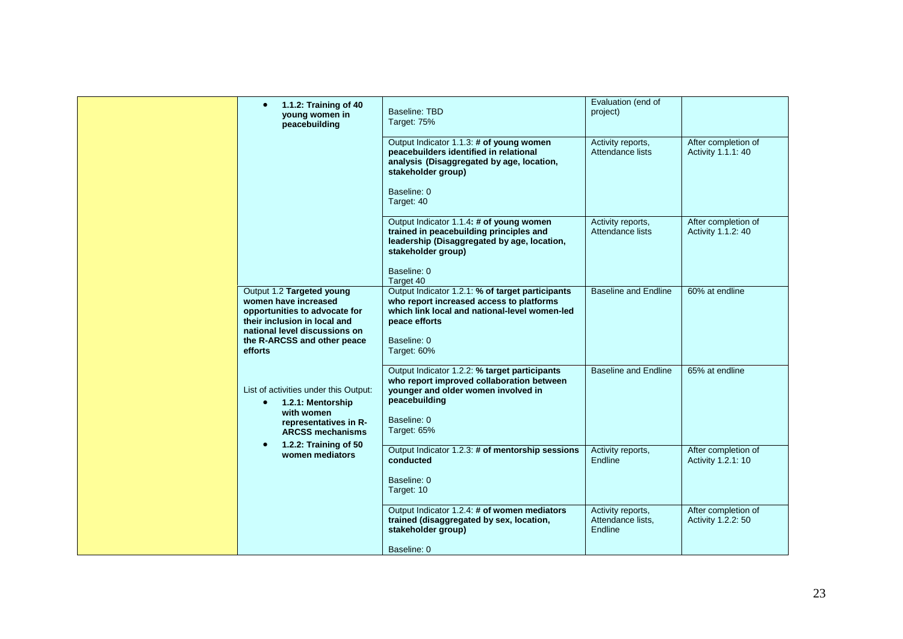| 1.1.2: Training of 40<br>$\bullet$<br>young women in<br>peacebuilding                                                                                                                         | Baseline: TBD<br>Target: 75%<br>Output Indicator 1.1.3: # of young women<br>peacebuilders identified in relational<br>analysis (Disaggregated by age, location,<br>stakeholder group)                             | Evaluation (end of<br>project)<br>Activity reports,<br>Attendance lists | After completion of<br>Activity 1.1.1: 40 |
|-----------------------------------------------------------------------------------------------------------------------------------------------------------------------------------------------|-------------------------------------------------------------------------------------------------------------------------------------------------------------------------------------------------------------------|-------------------------------------------------------------------------|-------------------------------------------|
|                                                                                                                                                                                               | Baseline: 0<br>Target: 40<br>Output Indicator 1.1.4: # of young women<br>trained in peacebuilding principles and<br>leadership (Disaggregated by age, location,<br>stakeholder group)<br>Baseline: 0<br>Target 40 | Activity reports,<br>Attendance lists                                   | After completion of<br>Activity 1.1.2: 40 |
| Output 1.2 Targeted young<br>women have increased<br>opportunities to advocate for<br>their inclusion in local and<br>national level discussions on<br>the R-ARCSS and other peace<br>efforts | Output Indicator 1.2.1: % of target participants<br>who report increased access to platforms<br>which link local and national-level women-led<br>peace efforts<br>Baseline: 0<br>Target: 60%                      | <b>Baseline and Endline</b>                                             | 60% at endline                            |
| List of activities under this Output:<br>1.2.1: Mentorship<br>$\bullet$<br>with women<br>representatives in R-<br><b>ARCSS mechanisms</b><br>1.2.2: Training of 50<br>$\bullet$               | Output Indicator 1.2.2: % target participants<br>who report improved collaboration between<br>younger and older women involved in<br>peacebuilding<br>Baseline: 0<br>Target: 65%                                  | <b>Baseline and Endline</b>                                             | 65% at endline                            |
| women mediators                                                                                                                                                                               | Output Indicator 1.2.3: # of mentorship sessions<br>conducted<br>Baseline: 0<br>Target: 10                                                                                                                        | Activity reports,<br>Endline                                            | After completion of<br>Activity 1.2.1: 10 |
|                                                                                                                                                                                               | Output Indicator 1.2.4: # of women mediators<br>trained (disaggregated by sex, location,<br>stakeholder group)<br>Baseline: 0                                                                                     | Activity reports.<br>Attendance lists,<br>Endline                       | After completion of<br>Activity 1.2.2: 50 |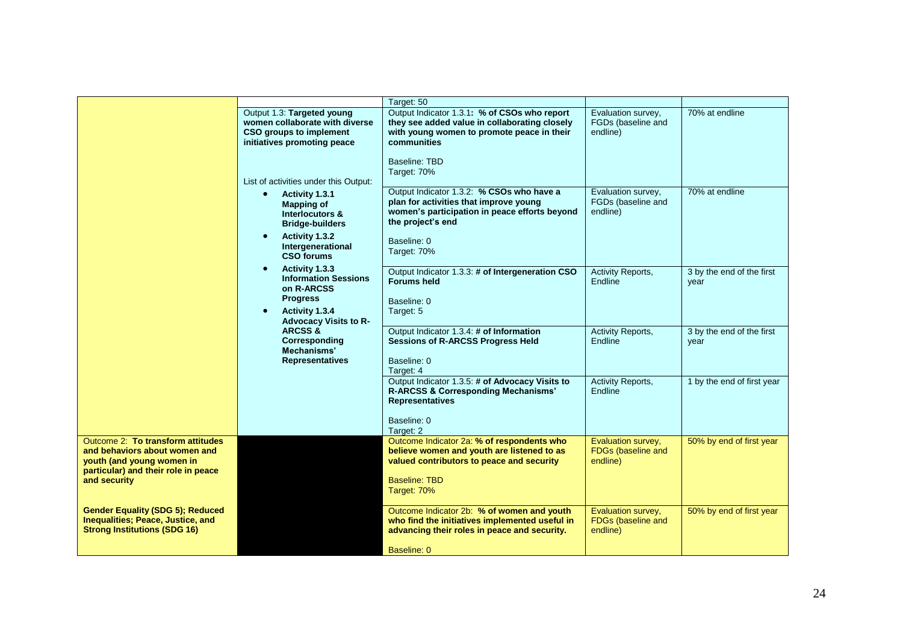|                                                                                                                                                                 |                                                                                                                                                                                            | Target: 50                                                                                                                                                                              |                                                      |                                   |
|-----------------------------------------------------------------------------------------------------------------------------------------------------------------|--------------------------------------------------------------------------------------------------------------------------------------------------------------------------------------------|-----------------------------------------------------------------------------------------------------------------------------------------------------------------------------------------|------------------------------------------------------|-----------------------------------|
| Output 1.3: Targeted young<br>women collaborate with diverse<br>CSO groups to implement<br>initiatives promoting peace<br>List of activities under this Output: | Output Indicator 1.3.1: % of CSOs who report<br>they see added value in collaborating closely<br>with young women to promote peace in their<br>communities<br>Baseline: TBD<br>Target: 70% | Evaluation survey,<br>FGDs (baseline and<br>endline)                                                                                                                                    | 70% at endline                                       |                                   |
|                                                                                                                                                                 | Activity 1.3.1<br>$\bullet$<br><b>Mapping of</b><br>Interlocutors &<br><b>Bridge-builders</b><br>Activity 1.3.2<br>$\bullet$<br>Intergenerational<br><b>CSO forums</b>                     | Output Indicator 1.3.2: % CSOs who have a<br>plan for activities that improve young<br>women's participation in peace efforts beyond<br>the project's end<br>Baseline: 0<br>Target: 70% | Evaluation survey,<br>FGDs (baseline and<br>endline) | 70% at endline                    |
|                                                                                                                                                                 | Activity 1.3.3<br>$\bullet$<br><b>Information Sessions</b><br>on R-ARCSS<br><b>Progress</b><br>Activity 1.3.4<br>$\bullet$<br><b>Advocacy Visits to R-</b>                                 | Output Indicator 1.3.3: # of Intergeneration CSO<br><b>Forums held</b><br>Baseline: 0<br>Target: 5                                                                                      | Activity Reports,<br>Endline                         | 3 by the end of the first<br>year |
|                                                                                                                                                                 | <b>ARCSS &amp;</b><br>Corresponding<br>Mechanisms'<br><b>Representatives</b>                                                                                                               | Output Indicator 1.3.4: # of Information<br><b>Sessions of R-ARCSS Progress Held</b><br>Baseline: 0<br>Target: 4                                                                        | Activity Reports,<br>Endline                         | 3 by the end of the first<br>year |
|                                                                                                                                                                 |                                                                                                                                                                                            | Output Indicator 1.3.5: # of Advocacy Visits to<br>R-ARCSS & Corresponding Mechanisms'<br><b>Representatives</b><br>Baseline: 0<br>Target: 2                                            | <b>Activity Reports,</b><br>Endline                  | 1 by the end of first year        |
| Outcome 2: To transform attitudes<br>and behaviors about women and<br>youth (and young women in<br>particular) and their role in peace<br>and security          |                                                                                                                                                                                            | Outcome Indicator 2a: % of respondents who<br>believe women and youth are listened to as<br>valued contributors to peace and security<br><b>Baseline: TBD</b><br>Target: 70%            | Evaluation survey,<br>FDGs (baseline and<br>endline) | 50% by end of first year          |
| <b>Gender Equality (SDG 5); Reduced</b><br>Inequalities; Peace, Justice, and<br><b>Strong Institutions (SDG 16)</b>                                             |                                                                                                                                                                                            | Outcome Indicator 2b: % of women and youth<br>who find the initiatives implemented useful in<br>advancing their roles in peace and security.<br>Baseline: 0                             | Evaluation survey,<br>FDGs (baseline and<br>endline) | 50% by end of first year          |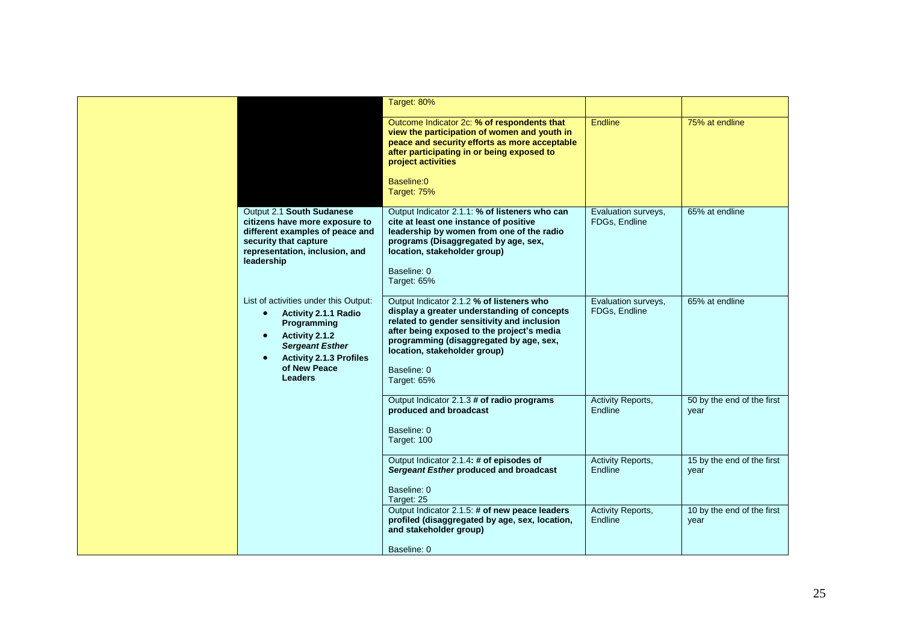|                                                                                                                                                                                                                                            | Target: 80%                                                                                                                                                                                                                                                                                    |                                      |                                    |
|--------------------------------------------------------------------------------------------------------------------------------------------------------------------------------------------------------------------------------------------|------------------------------------------------------------------------------------------------------------------------------------------------------------------------------------------------------------------------------------------------------------------------------------------------|--------------------------------------|------------------------------------|
|                                                                                                                                                                                                                                            | Outcome Indicator 2c: % of respondents that<br>view the participation of women and youth in<br>peace and security efforts as more acceptable<br>after participating in or being exposed to<br>project activities<br>Baseline:0<br>Target: 75%                                                  | <b>Fndline</b>                       | 75% at endline                     |
| Output 2.1 South Sudanese<br>citizens have more exposure to<br>different examples of peace and<br>security that capture<br>representation, inclusion, and<br>leadership                                                                    | Output Indicator 2.1.1: % of listeners who can<br>cite at least one instance of positive<br>leadership by women from one of the radio<br>programs (Disaggregated by age, sex,<br>location, stakeholder group)<br>Baseline: 0<br>Target: 65%                                                    | Evaluation surveys,<br>FDGs, Endline | 65% at endline                     |
| List of activities under this Output:<br><b>Activity 2.1.1 Radio</b><br>$\bullet$<br>Programming<br>Activity 2.1.2<br>$\bullet$<br><b>Sergeant Esther</b><br><b>Activity 2.1.3 Profiles</b><br>$\bullet$<br>of New Peace<br><b>Leaders</b> | Output Indicator 2.1.2 % of listeners who<br>display a greater understanding of concepts<br>related to gender sensitivity and inclusion<br>after being exposed to the project's media<br>programming (disaggregated by age, sex,<br>location, stakeholder group)<br>Baseline: 0<br>Target: 65% | Evaluation surveys,<br>FDGs, Endline | 65% at endline                     |
|                                                                                                                                                                                                                                            | Output Indicator 2.1.3 # of radio programs<br>produced and broadcast<br>Baseline: 0<br>Target: 100                                                                                                                                                                                             | Activity Reports,<br>Endline         | 50 by the end of the first<br>year |
|                                                                                                                                                                                                                                            | Output Indicator 2.1.4: # of episodes of<br>Sergeant Esther produced and broadcast<br>Baseline: 0<br>Target: 25                                                                                                                                                                                | Activity Reports,<br><b>Endline</b>  | 15 by the end of the first<br>year |
|                                                                                                                                                                                                                                            | Output Indicator 2.1.5: # of new peace leaders<br>profiled (disaggregated by age, sex, location,<br>and stakeholder group)<br>Baseline: 0                                                                                                                                                      | Activity Reports,<br>Endline         | 10 by the end of the first<br>year |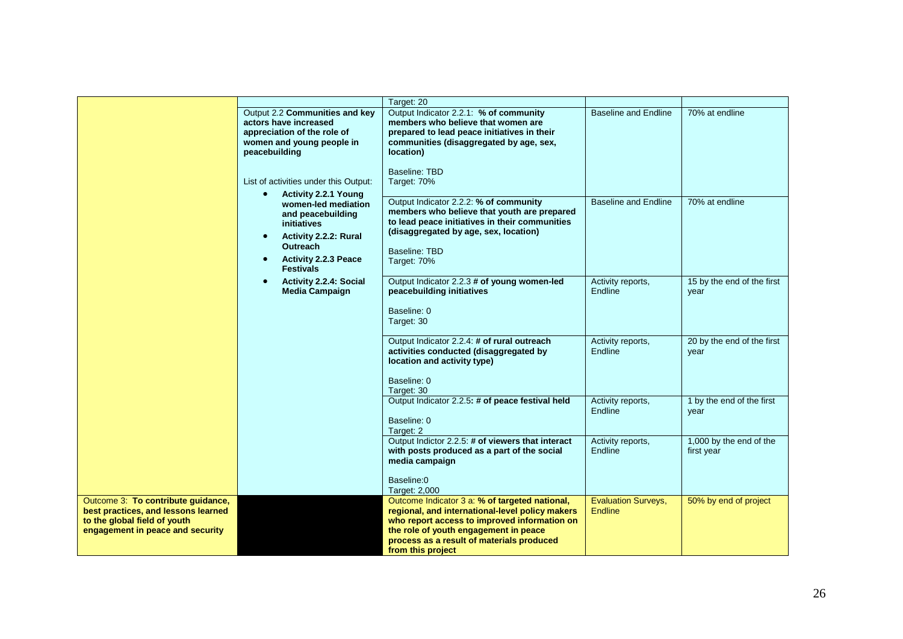|                                                                                                                                                                                                                              |                                                                                                                                                                                                                  | Target: 20                                                                                                                                                                                                                                                                    |                                              |                                       |
|------------------------------------------------------------------------------------------------------------------------------------------------------------------------------------------------------------------------------|------------------------------------------------------------------------------------------------------------------------------------------------------------------------------------------------------------------|-------------------------------------------------------------------------------------------------------------------------------------------------------------------------------------------------------------------------------------------------------------------------------|----------------------------------------------|---------------------------------------|
|                                                                                                                                                                                                                              | Output 2.2 Communities and key<br>actors have increased<br>appreciation of the role of<br>women and young people in<br>peacebuilding<br>List of activities under this Output:                                    | Output Indicator 2.2.1: % of community<br>members who believe that women are<br>prepared to lead peace initiatives in their<br>communities (disaggregated by age, sex,<br>location)<br>Baseline: TBD<br>Target: 70%                                                           | <b>Baseline and Endline</b>                  | 70% at endline                        |
| <b>Activity 2.2.1 Young</b><br>$\bullet$<br>women-led mediation<br>and peacebuilding<br>initiatives<br>Activity 2.2.2: Rural<br>$\bullet$<br><b>Outreach</b><br><b>Activity 2.2.3 Peace</b><br>$\bullet$<br><b>Festivals</b> | Output Indicator 2.2.2: % of community<br>members who believe that youth are prepared<br>to lead peace initiatives in their communities<br>(disaggregated by age, sex, location)<br>Baseline: TBD<br>Target: 70% | Baseline and Endline                                                                                                                                                                                                                                                          | 70% at endline                               |                                       |
|                                                                                                                                                                                                                              | $\bullet$<br><b>Activity 2.2.4: Social</b><br><b>Media Campaign</b>                                                                                                                                              | Output Indicator 2.2.3 # of young women-led<br>peacebuilding initiatives<br>Baseline: 0<br>Target: 30                                                                                                                                                                         | Activity reports,<br>Endline                 | 15 by the end of the first<br>year    |
|                                                                                                                                                                                                                              |                                                                                                                                                                                                                  | Output Indicator 2.2.4: # of rural outreach<br>activities conducted (disaggregated by<br>location and activity type)<br>Baseline: 0<br>Target: 30                                                                                                                             | Activity reports,<br>Endline                 | 20 by the end of the first<br>year    |
|                                                                                                                                                                                                                              |                                                                                                                                                                                                                  | Output Indicator 2.2.5: # of peace festival held<br>Baseline: 0<br>Target: 2                                                                                                                                                                                                  | Activity reports,<br>Endline                 | 1 by the end of the first<br>vear     |
|                                                                                                                                                                                                                              |                                                                                                                                                                                                                  | Output Indictor 2.2.5: # of viewers that interact<br>with posts produced as a part of the social<br>media campaign<br>Baseline:0                                                                                                                                              | Activity reports,<br>Endline                 | 1,000 by the end of the<br>first year |
| Outcome 3: To contribute guidance,<br>best practices, and lessons learned<br>to the global field of youth<br>engagement in peace and security                                                                                |                                                                                                                                                                                                                  | Target: 2,000<br>Outcome Indicator 3 a: % of targeted national,<br>regional, and international-level policy makers<br>who report access to improved information on<br>the role of youth engagement in peace<br>process as a result of materials produced<br>from this project | <b>Evaluation Surveys,</b><br><b>Endline</b> | 50% by end of project                 |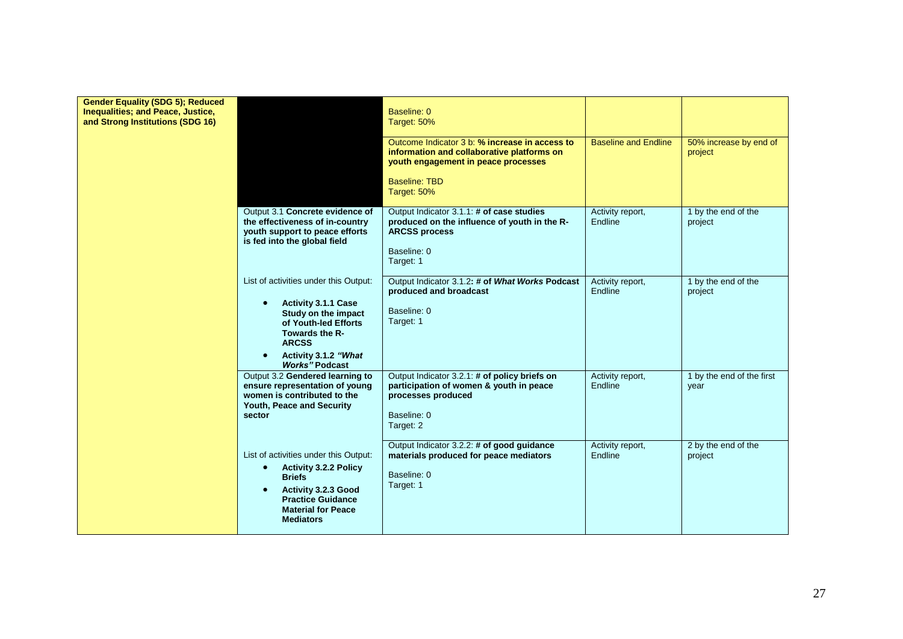| <b>Gender Equality (SDG 5); Reduced</b><br>Inequalities; and Peace, Justice,<br>and Strong Institutions (SDG 16) |                                                                                                                                                                                                                                 | Baseline: 0<br>Target: 50%<br>Outcome Indicator 3 b: % increase in access to<br>information and collaborative platforms on<br>youth engagement in peace processes<br><b>Baseline: TBD</b><br>Target: 50% | <b>Baseline and Endline</b> | 50% increase by end of<br>project |
|------------------------------------------------------------------------------------------------------------------|---------------------------------------------------------------------------------------------------------------------------------------------------------------------------------------------------------------------------------|----------------------------------------------------------------------------------------------------------------------------------------------------------------------------------------------------------|-----------------------------|-----------------------------------|
|                                                                                                                  | Output 3.1 Concrete evidence of<br>the effectiveness of in-country<br>youth support to peace efforts<br>is fed into the global field                                                                                            | Output Indicator 3.1.1: # of case studies<br>produced on the influence of youth in the R-<br><b>ARCSS process</b><br>Baseline: 0<br>Target: 1                                                            | Activity report,<br>Endline | 1 by the end of the<br>project    |
|                                                                                                                  | List of activities under this Output:<br><b>Activity 3.1.1 Case</b><br>$\bullet$<br>Study on the impact<br>of Youth-led Efforts<br>Towards the R-<br><b>ARCSS</b><br>Activity 3.1.2 "What<br>$\bullet$<br><b>Works" Podcast</b> | Output Indicator 3.1.2: # of What Works Podcast<br>produced and broadcast<br>Baseline: 0<br>Target: 1                                                                                                    | Activity report,<br>Endline | 1 by the end of the<br>project    |
|                                                                                                                  | Output 3.2 Gendered learning to<br>ensure representation of young<br>women is contributed to the<br>Youth, Peace and Security<br>sector                                                                                         | Output Indicator 3.2.1: # of policy briefs on<br>participation of women & youth in peace<br>processes produced<br>Baseline: 0<br>Target: 2                                                               | Activity report,<br>Endline | 1 by the end of the first<br>year |
|                                                                                                                  | List of activities under this Output:<br><b>Activity 3.2.2 Policy</b><br>$\bullet$<br><b>Briefs</b><br>Activity 3.2.3 Good<br>$\bullet$<br><b>Practice Guidance</b><br><b>Material for Peace</b><br><b>Mediators</b>            | Output Indicator 3.2.2: # of good guidance<br>materials produced for peace mediators<br>Baseline: 0<br>Target: 1                                                                                         | Activity report,<br>Endline | 2 by the end of the<br>project    |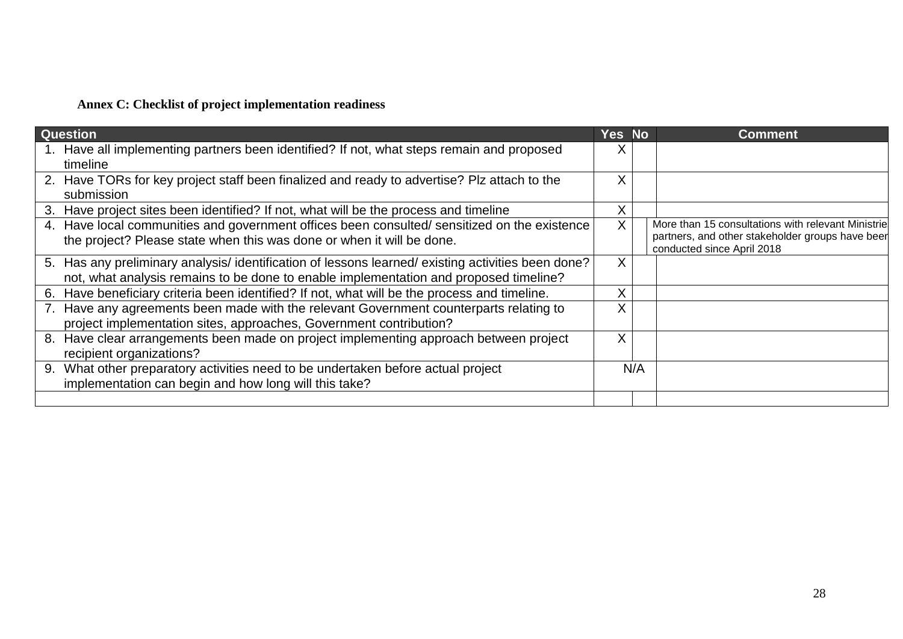# **Annex C: Checklist of project implementation readiness**

| <b>Question</b>                                                                                                                                                                           | Yes No |     | <b>Comment</b>                                                                                                                       |
|-------------------------------------------------------------------------------------------------------------------------------------------------------------------------------------------|--------|-----|--------------------------------------------------------------------------------------------------------------------------------------|
| 1. Have all implementing partners been identified? If not, what steps remain and proposed<br>timeline                                                                                     |        |     |                                                                                                                                      |
| 2. Have TORs for key project staff been finalized and ready to advertise? Plz attach to the<br>submission                                                                                 | X      |     |                                                                                                                                      |
| 3. Have project sites been identified? If not, what will be the process and timeline                                                                                                      | Χ      |     |                                                                                                                                      |
| 4. Have local communities and government offices been consulted/sensitized on the existence<br>the project? Please state when this was done or when it will be done.                      | X.     |     | More than 15 consultations with relevant Ministrie<br>partners, and other stakeholder groups have beer<br>conducted since April 2018 |
| 5. Has any preliminary analysis/identification of lessons learned/existing activities been done?<br>not, what analysis remains to be done to enable implementation and proposed timeline? | X      |     |                                                                                                                                      |
| Have beneficiary criteria been identified? If not, what will be the process and timeline.<br>6.                                                                                           | Χ      |     |                                                                                                                                      |
| 7. Have any agreements been made with the relevant Government counterparts relating to<br>project implementation sites, approaches, Government contribution?                              |        |     |                                                                                                                                      |
| Have clear arrangements been made on project implementing approach between project<br>8.<br>recipient organizations?                                                                      | X      |     |                                                                                                                                      |
| What other preparatory activities need to be undertaken before actual project<br>9.<br>implementation can begin and how long will this take?                                              |        | N/A |                                                                                                                                      |
|                                                                                                                                                                                           |        |     |                                                                                                                                      |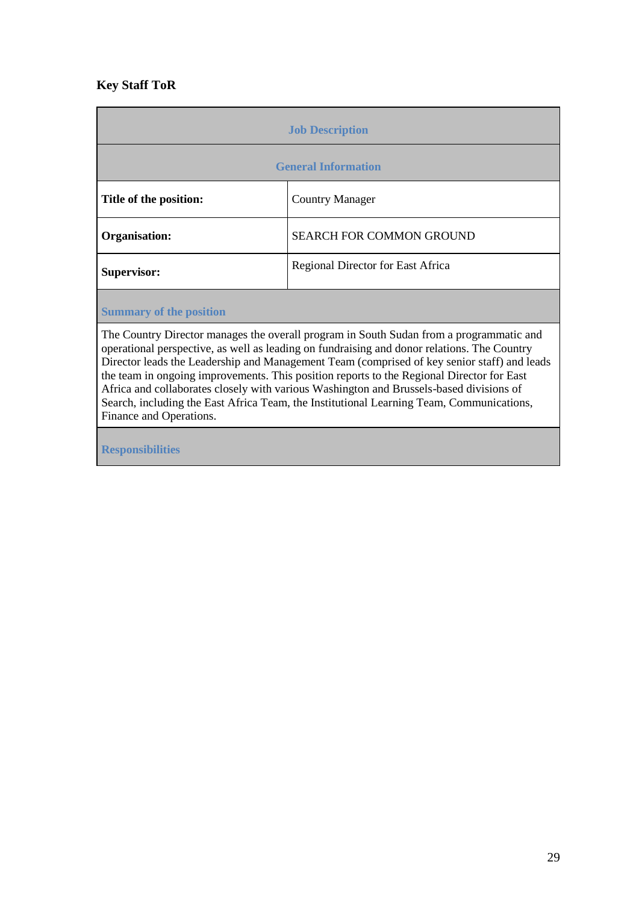# **Key Staff ToR**

| <b>Job Description</b>     |                                   |
|----------------------------|-----------------------------------|
| <b>General Information</b> |                                   |
| Title of the position:     | <b>Country Manager</b>            |
| Organisation:              | <b>SEARCH FOR COMMON GROUND</b>   |
| <b>Supervisor:</b>         | Regional Director for East Africa |
|                            |                                   |

**Summary of the position**

The Country Director manages the overall program in South Sudan from a programmatic and operational perspective, as well as leading on fundraising and donor relations. The Country Director leads the Leadership and Management Team (comprised of key senior staff) and leads the team in ongoing improvements. This position reports to the Regional Director for East Africa and collaborates closely with various Washington and Brussels-based divisions of Search, including the East Africa Team, the Institutional Learning Team, Communications, Finance and Operations.

**Responsibilities**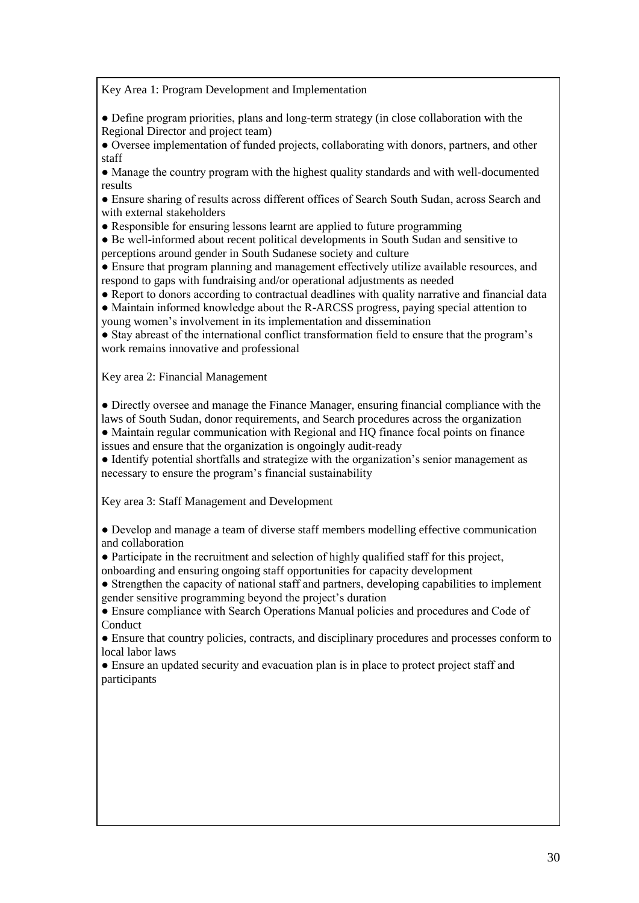Key Area 1: Program Development and Implementation

● Define program priorities, plans and long-term strategy (in close collaboration with the Regional Director and project team)

● Oversee implementation of funded projects, collaborating with donors, partners, and other staff

● Manage the country program with the highest quality standards and with well-documented results

● Ensure sharing of results across different offices of Search South Sudan, across Search and with external stakeholders

• Responsible for ensuring lessons learnt are applied to future programming

● Be well-informed about recent political developments in South Sudan and sensitive to perceptions around gender in South Sudanese society and culture

● Ensure that program planning and management effectively utilize available resources, and respond to gaps with fundraising and/or operational adjustments as needed

● Report to donors according to contractual deadlines with quality narrative and financial data ● Maintain informed knowledge about the R-ARCSS progress, paying special attention to

young women's involvement in its implementation and dissemination

● Stay abreast of the international conflict transformation field to ensure that the program's work remains innovative and professional

Key area 2: Financial Management

● Directly oversee and manage the Finance Manager, ensuring financial compliance with the laws of South Sudan, donor requirements, and Search procedures across the organization ● Maintain regular communication with Regional and HQ finance focal points on finance issues and ensure that the organization is ongoingly audit-ready

● Identify potential shortfalls and strategize with the organization's senior management as necessary to ensure the program's financial sustainability

Key area 3: Staff Management and Development

● Develop and manage a team of diverse staff members modelling effective communication and collaboration

● Participate in the recruitment and selection of highly qualified staff for this project,

onboarding and ensuring ongoing staff opportunities for capacity development

• Strengthen the capacity of national staff and partners, developing capabilities to implement gender sensitive programming beyond the project's duration

● Ensure compliance with Search Operations Manual policies and procedures and Code of Conduct

● Ensure that country policies, contracts, and disciplinary procedures and processes conform to local labor laws

● Ensure an updated security and evacuation plan is in place to protect project staff and participants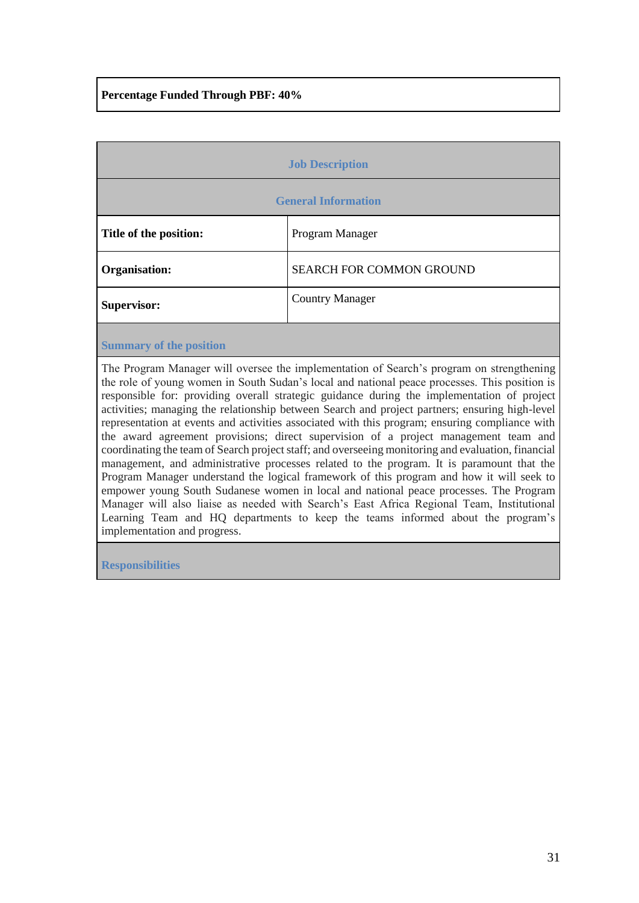# **Percentage Funded Through PBF: 40%**

| <b>Job Description</b>     |                                 |
|----------------------------|---------------------------------|
| <b>General Information</b> |                                 |
| Title of the position:     | Program Manager                 |
| Organisation:              | <b>SEARCH FOR COMMON GROUND</b> |
| <b>Supervisor:</b>         | <b>Country Manager</b>          |
|                            |                                 |

### **Summary of the position**

The Program Manager will oversee the implementation of Search's program on strengthening the role of young women in South Sudan's local and national peace processes. This position is responsible for: providing overall strategic guidance during the implementation of project activities; managing the relationship between Search and project partners; ensuring high-level representation at events and activities associated with this program; ensuring compliance with the award agreement provisions; direct supervision of a project management team and coordinating the team of Search project staff; and overseeing monitoring and evaluation, financial management, and administrative processes related to the program. It is paramount that the Program Manager understand the logical framework of this program and how it will seek to empower young South Sudanese women in local and national peace processes. The Program Manager will also liaise as needed with Search's East Africa Regional Team, Institutional Learning Team and HQ departments to keep the teams informed about the program's implementation and progress.

**Responsibilities**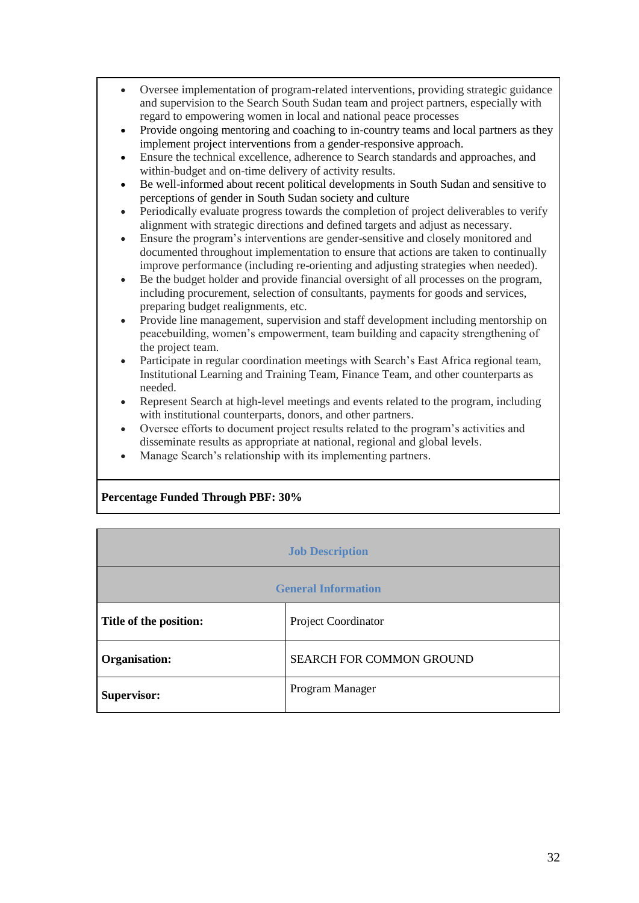| • Oversee implementation of program-related interventions, providing strategic guidance |
|-----------------------------------------------------------------------------------------|
| and supervision to the Search South Sudan team and project partners, especially with    |
| regard to empowering women in local and national peace processes                        |

- Provide ongoing mentoring and coaching to in-country teams and local partners as they implement project interventions from a gender-responsive approach.
- Ensure the technical excellence, adherence to Search standards and approaches, and within-budget and on-time delivery of activity results.
- Be well-informed about recent political developments in South Sudan and sensitive to perceptions of gender in South Sudan society and culture
- Periodically evaluate progress towards the completion of project deliverables to verify alignment with strategic directions and defined targets and adjust as necessary.
- Ensure the program's interventions are gender-sensitive and closely monitored and documented throughout implementation to ensure that actions are taken to continually improve performance (including re-orienting and adjusting strategies when needed).
- Be the budget holder and provide financial oversight of all processes on the program, including procurement, selection of consultants, payments for goods and services, preparing budget realignments, etc.
- Provide line management, supervision and staff development including mentorship on peacebuilding, women's empowerment, team building and capacity strengthening of the project team.
- Participate in regular coordination meetings with Search's East Africa regional team, Institutional Learning and Training Team, Finance Team, and other counterparts as needed.
- Represent Search at high-level meetings and events related to the program, including with institutional counterparts, donors, and other partners.
- Oversee efforts to document project results related to the program's activities and disseminate results as appropriate at national, regional and global levels.
- Manage Search's relationship with its implementing partners.

# **Percentage Funded Through PBF: 30%**

| <b>Job Description</b>     |                                 |
|----------------------------|---------------------------------|
| <b>General Information</b> |                                 |
| Title of the position:     | Project Coordinator             |
| Organisation:              | <b>SEARCH FOR COMMON GROUND</b> |
| <b>Supervisor:</b>         | Program Manager                 |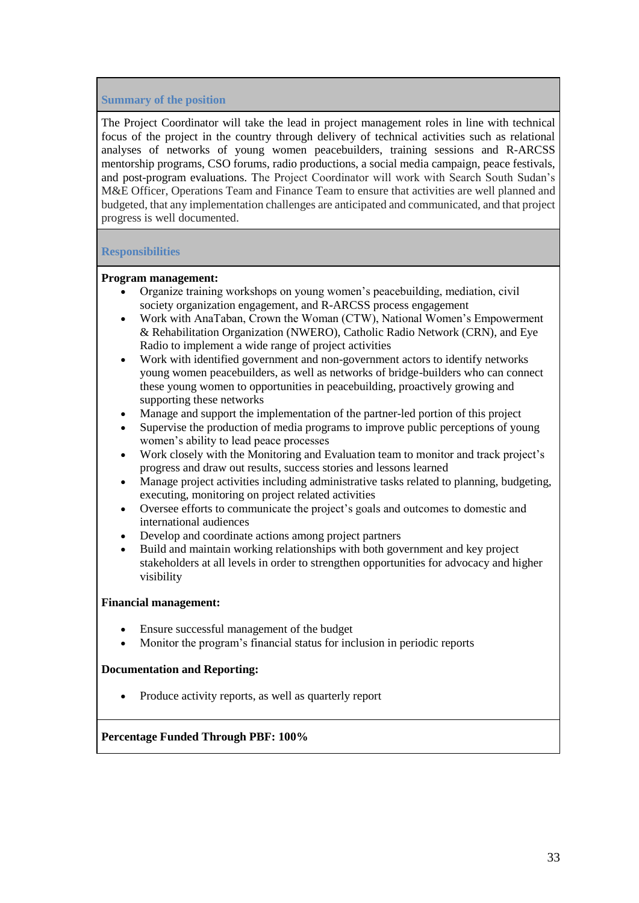### **Summary of the position**

The Project Coordinator will take the lead in project management roles in line with technical focus of the project in the country through delivery of technical activities such as relational analyses of networks of young women peacebuilders, training sessions and R-ARCSS mentorship programs, CSO forums, radio productions, a social media campaign, peace festivals, and post-program evaluations. The Project Coordinator will work with Search South Sudan's M&E Officer, Operations Team and Finance Team to ensure that activities are well planned and budgeted, that any implementation challenges are anticipated and communicated, and that project progress is well documented.

### **Responsibilities**

### **Program management:**

- Organize training workshops on young women's peacebuilding, mediation, civil society organization engagement, and R-ARCSS process engagement
- Work with AnaTaban, Crown the Woman (CTW), National Women's Empowerment & Rehabilitation Organization (NWERO), Catholic Radio Network (CRN), and Eye Radio to implement a wide range of project activities
- Work with identified government and non-government actors to identify networks young women peacebuilders, as well as networks of bridge-builders who can connect these young women to opportunities in peacebuilding, proactively growing and supporting these networks
- Manage and support the implementation of the partner-led portion of this project
- Supervise the production of media programs to improve public perceptions of young women's ability to lead peace processes
- Work closely with the Monitoring and Evaluation team to monitor and track project's progress and draw out results, success stories and lessons learned
- Manage project activities including administrative tasks related to planning, budgeting, executing, monitoring on project related activities
- Oversee efforts to communicate the project's goals and outcomes to domestic and international audiences
- Develop and coordinate actions among project partners
- Build and maintain working relationships with both government and key project stakeholders at all levels in order to strengthen opportunities for advocacy and higher visibility

### **Financial management:**

- Ensure successful management of the budget
- Monitor the program's financial status for inclusion in periodic reports

# **Documentation and Reporting:**

• Produce activity reports, as well as quarterly report

**Percentage Funded Through PBF: 100%**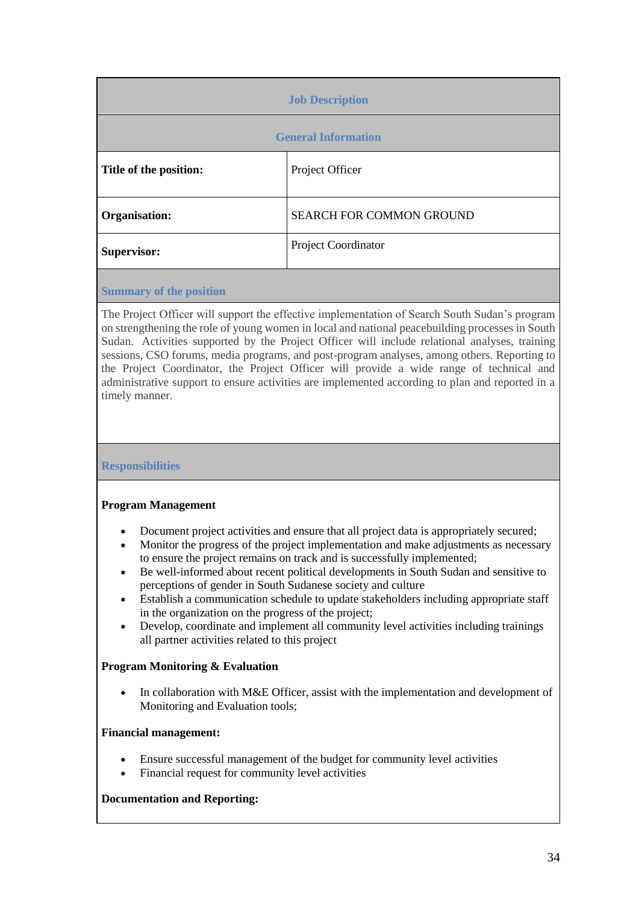| <b>Job Description</b>     |                                 |
|----------------------------|---------------------------------|
| <b>General Information</b> |                                 |
| Title of the position:     | Project Officer                 |
| Organisation:              | <b>SEARCH FOR COMMON GROUND</b> |
| Supervisor:                | Project Coordinator             |
|                            |                                 |

**Summary of the position**

The Project Officer will support the effective implementation of Search South Sudan's program on strengthening the role of young women in local and national peacebuilding processes in South Sudan. Activities supported by the Project Officer will include relational analyses, training sessions, CSO forums, media programs, and post-program analyses, among others. Reporting to the Project Coordinator, the Project Officer will provide a wide range of technical and administrative support to ensure activities are implemented according to plan and reported in a timely manner.

**Responsibilities**

# **Program Management**

- Document project activities and ensure that all project data is appropriately secured;
- Monitor the progress of the project implementation and make adjustments as necessary to ensure the project remains on track and is successfully implemented;
- Be well-informed about recent political developments in South Sudan and sensitive to perceptions of gender in South Sudanese society and culture
- Establish a communication schedule to update stakeholders including appropriate staff in the organization on the progress of the project;
- Develop, coordinate and implement all community level activities including trainings all partner activities related to this project

# **Program Monitoring & Evaluation**

• In collaboration with M&E Officer, assist with the implementation and development of Monitoring and Evaluation tools;

# **Financial management:**

- Ensure successful management of the budget for community level activities
- Financial request for community level activities

# **Documentation and Reporting:**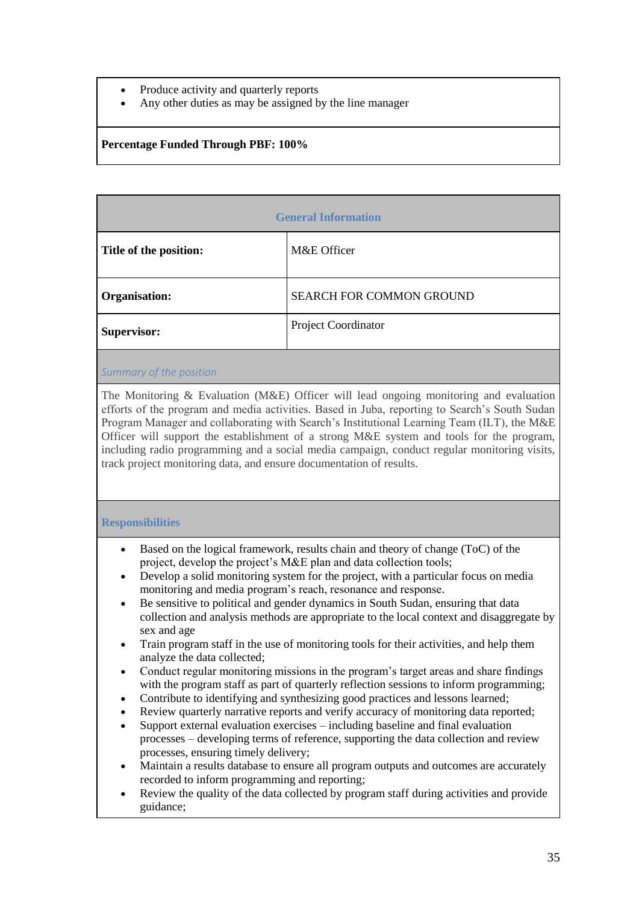- Produce activity and quarterly reports
- Any other duties as may be assigned by the line manager

## **Percentage Funded Through PBF: 100%**

| <b>General Information</b> |                                 |
|----------------------------|---------------------------------|
| Title of the position:     | M&E Officer                     |
| Organisation:              | <b>SEARCH FOR COMMON GROUND</b> |
| <b>Supervisor:</b>         | Project Coordinator             |
|                            |                                 |

### *Summary of the position*

The Monitoring & Evaluation (M&E) Officer will lead ongoing monitoring and evaluation efforts of the program and media activities. Based in Juba, reporting to Search's South Sudan Program Manager and collaborating with Search's Institutional Learning Team (ILT), the M&E Officer will support the establishment of a strong M&E system and tools for the program, including radio programming and a social media campaign, conduct regular monitoring visits, track project monitoring data, and ensure documentation of results.

### **Responsibilities**

- Based on the logical framework, results chain and theory of change (ToC) of the project, develop the project's M&E plan and data collection tools;
- Develop a solid monitoring system for the project, with a particular focus on media monitoring and media program's reach, resonance and response.
- Be sensitive to political and gender dynamics in South Sudan, ensuring that data collection and analysis methods are appropriate to the local context and disaggregate by sex and age
- Train program staff in the use of monitoring tools for their activities, and help them analyze the data collected;
- Conduct regular monitoring missions in the program's target areas and share findings with the program staff as part of quarterly reflection sessions to inform programming;
- Contribute to identifying and synthesizing good practices and lessons learned;
- Review quarterly narrative reports and verify accuracy of monitoring data reported;
- Support external evaluation exercises including baseline and final evaluation processes – developing terms of reference, supporting the data collection and review processes, ensuring timely delivery;
- Maintain a results database to ensure all program outputs and outcomes are accurately recorded to inform programming and reporting;
- Review the quality of the data collected by program staff during activities and provide guidance;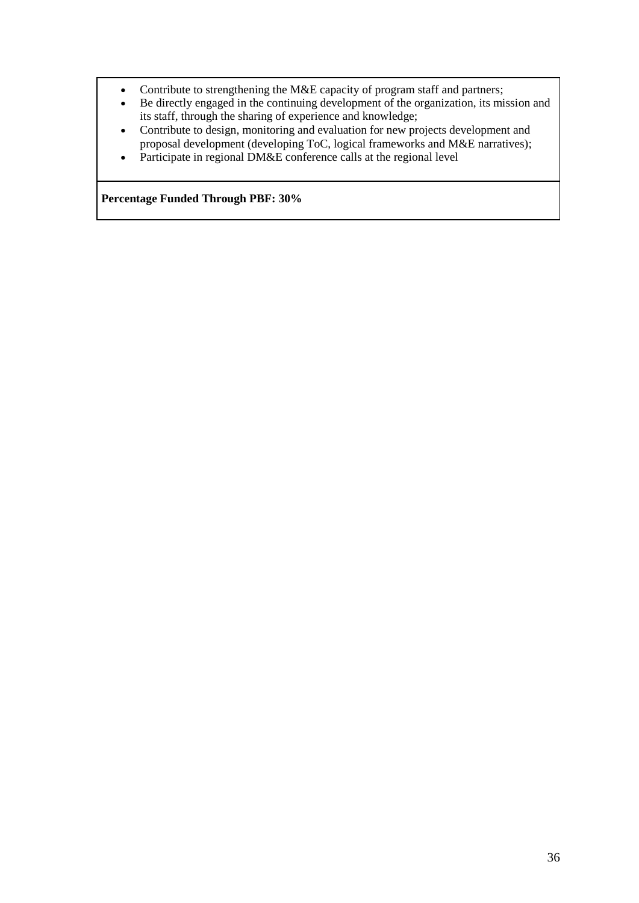- Contribute to strengthening the M&E capacity of program staff and partners;
- Be directly engaged in the continuing development of the organization, its mission and its staff, through the sharing of experience and knowledge;
- Contribute to design, monitoring and evaluation for new projects development and proposal development (developing ToC, logical frameworks and M&E narratives);
- Participate in regional DM&E conference calls at the regional level

**Percentage Funded Through PBF: 30%**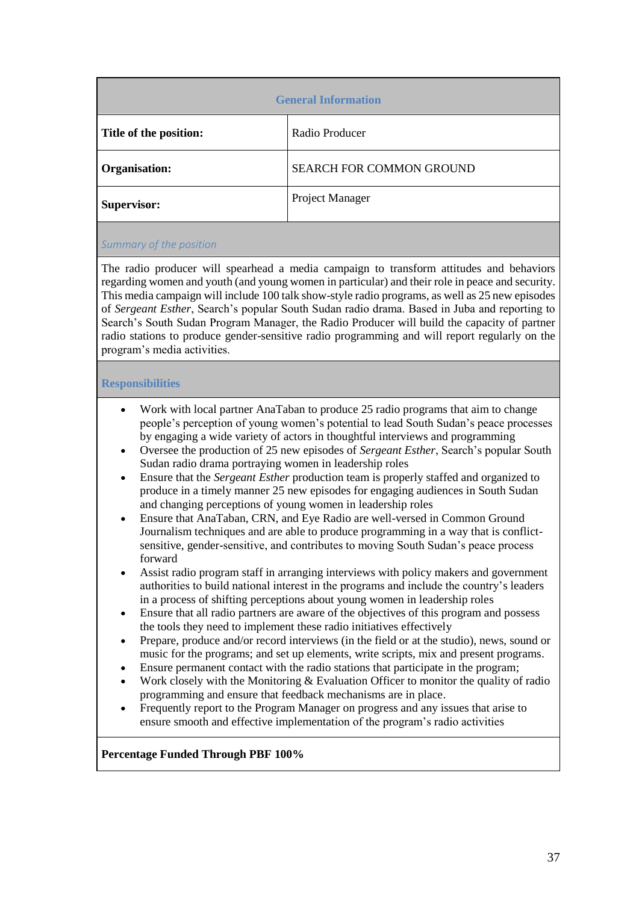| <b>General Information</b> |                                 |
|----------------------------|---------------------------------|
| Title of the position:     | Radio Producer                  |
| Organisation:              | <b>SEARCH FOR COMMON GROUND</b> |
| Supervisor:                | Project Manager                 |
|                            |                                 |

# *Summary of the position*

The radio producer will spearhead a media campaign to transform attitudes and behaviors regarding women and youth (and young women in particular) and their role in peace and security. This media campaign will include 100 talk show-style radio programs, as well as 25 new episodes of *Sergeant Esther*, Search's popular South Sudan radio drama. Based in Juba and reporting to Search's South Sudan Program Manager, the Radio Producer will build the capacity of partner radio stations to produce gender-sensitive radio programming and will report regularly on the program's media activities.

# **Responsibilities**

- Work with local partner AnaTaban to produce 25 radio programs that aim to change people's perception of young women's potential to lead South Sudan's peace processes by engaging a wide variety of actors in thoughtful interviews and programming
- Oversee the production of 25 new episodes of *Sergeant Esther*, Search's popular South Sudan radio drama portraying women in leadership roles
- Ensure that the *Sergeant Esther* production team is properly staffed and organized to produce in a timely manner 25 new episodes for engaging audiences in South Sudan and changing perceptions of young women in leadership roles
- Ensure that AnaTaban, CRN, and Eye Radio are well-versed in Common Ground Journalism techniques and are able to produce programming in a way that is conflictsensitive, gender-sensitive, and contributes to moving South Sudan's peace process forward
- Assist radio program staff in arranging interviews with policy makers and government authorities to build national interest in the programs and include the country's leaders in a process of shifting perceptions about young women in leadership roles
- Ensure that all radio partners are aware of the objectives of this program and possess the tools they need to implement these radio initiatives effectively
- Prepare, produce and/or record interviews (in the field or at the studio), news, sound or music for the programs; and set up elements, write scripts, mix and present programs.
- Ensure permanent contact with the radio stations that participate in the program;
- Work closely with the Monitoring  $&$  Evaluation Officer to monitor the quality of radio programming and ensure that feedback mechanisms are in place.
- Frequently report to the Program Manager on progress and any issues that arise to ensure smooth and effective implementation of the program's radio activities

# **Percentage Funded Through PBF 100%**